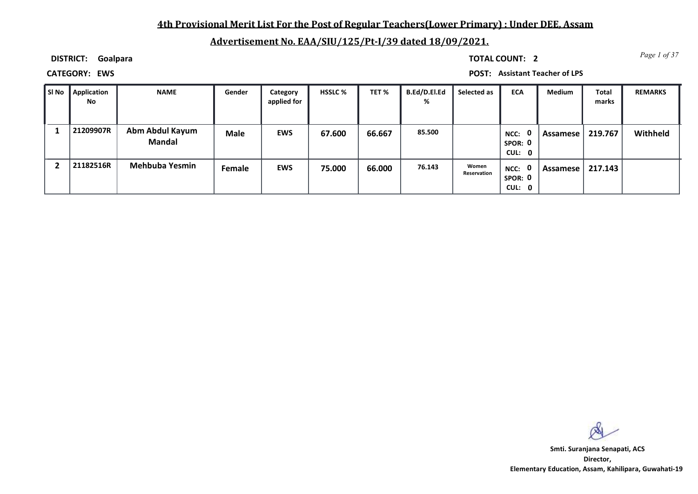### **4th Provisional Merit List For the Post of Regular Teachers(Lower Primary) : Under DEE, Assam**

### **Advertisement No. EAA/SIU/125/Pt-I/39 dated 18/09/2021.**

**DISTRICT: Goalpara**

*Page 1 of 37* **TOTAL COUNT: 2**

**CATEGORY: EWS POST: Assistant Teacher of LPS**

| l Si No | Application<br>No | <b>NAME</b>                      | Gender      | Category<br>applied for | <b>HSSLC %</b> | TET %  | B.Ed/D.El.Ed<br>% | Selected as          | <b>ECA</b>                                | <b>Medium</b> | <b>Total</b><br>marks | <b>REMARKS</b> |
|---------|-------------------|----------------------------------|-------------|-------------------------|----------------|--------|-------------------|----------------------|-------------------------------------------|---------------|-----------------------|----------------|
|         | 21209907R         | Abm Abdul Kayum<br><b>Mandal</b> | <b>Male</b> | <b>EWS</b>              | 67.600         | 66.667 | 85.500            |                      | $\mathbf{0}$<br>NCC:<br>SPOR: 0<br>CUL: 0 | Assamese      | 219.767               | Withheld       |
|         | 21182516R         | <b>Mehbuba Yesmin</b>            | Female      | <b>EWS</b>              | 75.000         | 66.000 | 76.143            | Women<br>Reservation | NCC: 0<br>SPOR: 0<br>CUL: 0               | Assamese      | 217.143               |                |

**Director, Elementary Education, Assam, Kahilipara, Guwahati-19 Smti. Suranjana Senapati, ACS**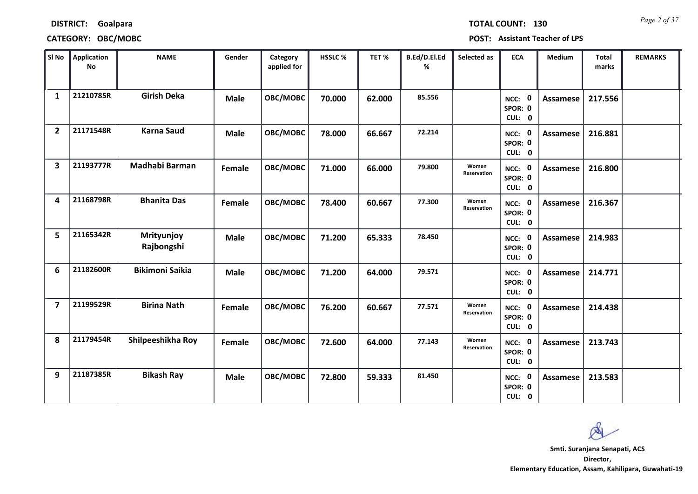| <b>DISTRICT:</b> | Goalpara |
|------------------|----------|
|------------------|----------|

### **CATEGORY: OBC/MOBC POST: Assistant Teacher of LPS**

*Page 2 of 37* **TOTAL COUNT: 130**

| SI <sub>No</sub>        | <b>Application</b><br>No | <b>NAME</b>              | Gender      | Category<br>applied for | <b>HSSLC %</b> | TET %  | B.Ed/D.El.Ed<br>% | Selected as          | <b>ECA</b>                  | <b>Medium</b>   | <b>Total</b><br>marks | <b>REMARKS</b> |
|-------------------------|--------------------------|--------------------------|-------------|-------------------------|----------------|--------|-------------------|----------------------|-----------------------------|-----------------|-----------------------|----------------|
| $\mathbf{1}$            | 21210785R                | <b>Girish Deka</b>       | <b>Male</b> | OBC/MOBC                | 70.000         | 62.000 | 85.556            |                      | NCC: 0<br>SPOR: 0<br>CUL: 0 | Assamese        | 217.556               |                |
| $\overline{2}$          | 21171548R                | <b>Karna Saud</b>        | <b>Male</b> | OBC/MOBC                | 78.000         | 66.667 | 72.214            |                      | NCC: 0<br>SPOR: 0<br>CUL: 0 | Assamese        | 216.881               |                |
| $\overline{\mathbf{3}}$ | 21193777R                | Madhabi Barman           | Female      | OBC/MOBC                | 71.000         | 66.000 | 79.800            | Women<br>Reservation | NCC: 0<br>SPOR: 0<br>CUL: 0 | <b>Assamese</b> | 216.800               |                |
| 4                       | 21168798R                | <b>Bhanita Das</b>       | Female      | OBC/MOBC                | 78.400         | 60.667 | 77.300            | Women<br>Reservation | NCC: 0<br>SPOR: 0<br>CUL: 0 | Assamese        | 216.367               |                |
| 5                       | 21165342R                | Mrityunjoy<br>Rajbongshi | <b>Male</b> | OBC/MOBC                | 71.200         | 65.333 | 78.450            |                      | NCC: 0<br>SPOR: 0<br>CUL: 0 | Assamese        | 214.983               |                |
| 6                       | 21182600R                | <b>Bikimoni Saikia</b>   | <b>Male</b> | OBC/MOBC                | 71.200         | 64.000 | 79.571            |                      | NCC: 0<br>SPOR: 0<br>CUL: 0 | <b>Assamese</b> | 214.771               |                |
| $\overline{\mathbf{z}}$ | 21199529R                | <b>Birina Nath</b>       | Female      | OBC/MOBC                | 76.200         | 60.667 | 77.571            | Women<br>Reservation | NCC: 0<br>SPOR: 0<br>CUL: 0 | Assamese        | 214.438               |                |
| 8                       | 21179454R                | Shilpeeshikha Roy        | Female      | OBC/MOBC                | 72.600         | 64.000 | 77.143            | Women<br>Reservation | NCC: 0<br>SPOR: 0<br>CUL: 0 | Assamese        | 213.743               |                |
| 9                       | 21187385R                | <b>Bikash Ray</b>        | <b>Male</b> | OBC/MOBC                | 72.800         | 59.333 | 81.450            |                      | NCC: 0<br>SPOR: 0<br>CUL: 0 | Assamese        | 213.583               |                |

**Director, Smti. Suranjana Senapati, ACS**

**Elementary Education, Assam, Kahilipara, Guwahati-19**

 $\infty$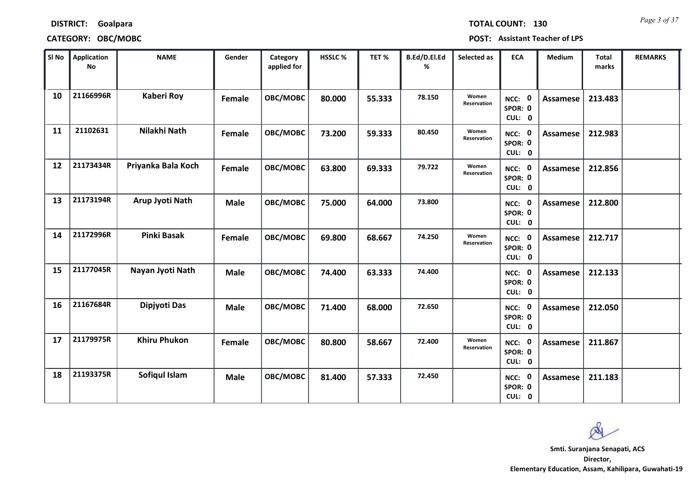*Page 3 of 37* **TOTAL COUNT: 130**

**CATEGORY: OBC/MOBC POST: Assistant Teacher of LPS**

| SI No | Application<br><b>No</b> | <b>NAME</b>         | Gender      | Category<br>applied for | HSSLC% | TET %  | B.Ed/D.El.Ed<br>% | Selected as                 | <b>ECA</b>                  | <b>Medium</b>   | <b>Total</b><br>marks | <b>REMARKS</b> |
|-------|--------------------------|---------------------|-------------|-------------------------|--------|--------|-------------------|-----------------------------|-----------------------------|-----------------|-----------------------|----------------|
| 10    | 21166996R                | <b>Kaberi Roy</b>   | Female      | OBC/MOBC                | 80.000 | 55.333 | 78.150            | Women<br>Reservation        | NCC: 0<br>SPOR: 0<br>CUL: 0 | <b>Assamese</b> | 213.483               |                |
| 11    | 21102631                 | Nilakhi Nath        | Female      | OBC/MOBC                | 73.200 | 59.333 | 80.450            | Women<br>Reservation        | NCC: 0<br>SPOR: 0<br>CUL: 0 | Assamese        | 212.983               |                |
| 12    | 21173434R                | Priyanka Bala Koch  | Female      | OBC/MOBC                | 63.800 | 69.333 | 79.722            | Women<br>Reservation        | NCC: 0<br>SPOR: 0<br>CUL: 0 | Assamese        | 212.856               |                |
| 13    | 21173194R                | Arup Jyoti Nath     | <b>Male</b> | OBC/MOBC                | 75.000 | 64.000 | 73.800            |                             | NCC: 0<br>SPOR: 0<br>CUL: 0 | <b>Assamese</b> | 212.800               |                |
| 14    | 21172996R                | <b>Pinki Basak</b>  | Female      | OBC/MOBC                | 69.800 | 68.667 | 74.250            | Women<br><b>Reservation</b> | NCC: 0<br>SPOR: 0<br>CUL: 0 | Assamese        | 212.717               |                |
| 15    | 21177045R                | Nayan Jyoti Nath    | <b>Male</b> | OBC/MOBC                | 74.400 | 63.333 | 74.400            |                             | NCC: 0<br>SPOR: 0<br>CUL: 0 | <b>Assamese</b> | 212.133               |                |
| 16    | 21167684R                | Dipjyoti Das        | <b>Male</b> | OBC/MOBC                | 71.400 | 68.000 | 72.650            |                             | NCC: 0<br>SPOR: 0<br>CUL: 0 | <b>Assamese</b> | 212.050               |                |
| 17    | 21179975R                | <b>Khiru Phukon</b> | Female      | OBC/MOBC                | 80.800 | 58.667 | 72.400            | Women<br>Reservation        | NCC: 0<br>SPOR: 0<br>CUL: 0 | <b>Assamese</b> | 211.867               |                |
| 18    | 21193375R                | Sofiqul Islam       | <b>Male</b> | OBC/MOBC                | 81.400 | 57.333 | 72.450            |                             | NCC: 0<br>SPOR: 0<br>CUL: 0 | <b>Assamese</b> | 211.183               |                |

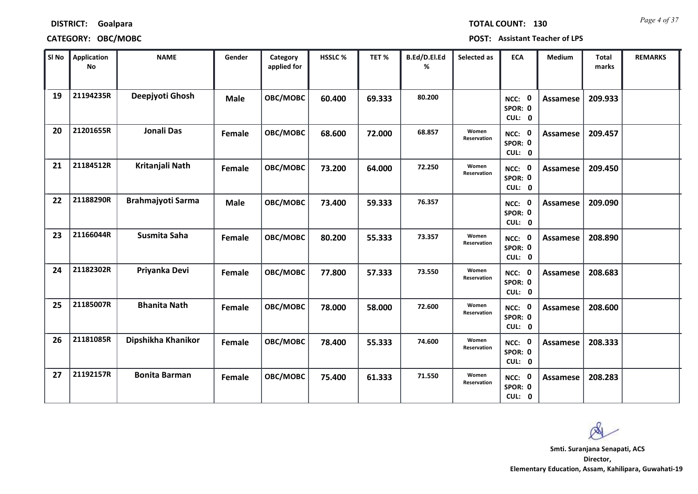| <b>DISTRICT:</b> | Goalpara |
|------------------|----------|
|------------------|----------|

### **CATEGORY: OBC/MOBC POST: Assistant Teacher of LPS**

*Page 4 of 37* **TOTAL COUNT: 130**

| SI No | <b>Application</b><br><b>No</b> | <b>NAME</b>              | Gender      | Category<br>applied for | HSSLC % | TET %  | B.Ed/D.El.Ed<br>% | Selected as          | <b>ECA</b>                  | <b>Medium</b>   | <b>Total</b><br>marks | <b>REMARKS</b> |
|-------|---------------------------------|--------------------------|-------------|-------------------------|---------|--------|-------------------|----------------------|-----------------------------|-----------------|-----------------------|----------------|
| 19    | 21194235R                       | Deepjyoti Ghosh          | <b>Male</b> | OBC/MOBC                | 60.400  | 69.333 | 80.200            |                      | NCC: 0<br>SPOR: 0<br>CUL: 0 | Assamese        | 209.933               |                |
| 20    | 21201655R                       | <b>Jonali Das</b>        | Female      | OBC/MOBC                | 68.600  | 72.000 | 68.857            | Women<br>Reservation | NCC: 0<br>SPOR: 0<br>CUL: 0 | Assamese        | 209.457               |                |
| 21    | 21184512R                       | Kritanjali Nath          | Female      | OBC/MOBC                | 73.200  | 64.000 | 72.250            | Women<br>Reservation | NCC: 0<br>SPOR: 0<br>CUL: 0 | <b>Assamese</b> | 209.450               |                |
| 22    | 21188290R                       | <b>Brahmajyoti Sarma</b> | <b>Male</b> | OBC/MOBC                | 73.400  | 59.333 | 76.357            |                      | NCC: 0<br>SPOR: 0<br>CUL: 0 | Assamese        | 209.090               |                |
| 23    | 21166044R                       | Susmita Saha             | Female      | OBC/MOBC                | 80.200  | 55.333 | 73.357            | Women<br>Reservation | NCC: 0<br>SPOR: 0<br>CUL: 0 | <b>Assamese</b> | 208.890               |                |
| 24    | 21182302R                       | Priyanka Devi            | Female      | OBC/MOBC                | 77.800  | 57.333 | 73.550            | Women<br>Reservation | NCC: 0<br>SPOR: 0<br>CUL: 0 | Assamese        | 208.683               |                |
| 25    | 21185007R                       | <b>Bhanita Nath</b>      | Female      | OBC/MOBC                | 78.000  | 58.000 | 72.600            | Women<br>Reservation | NCC: 0<br>SPOR: 0<br>CUL: 0 | Assamese        | 208.600               |                |
| 26    | 21181085R                       | Dipshikha Khanikor       | Female      | OBC/MOBC                | 78.400  | 55.333 | 74.600            | Women<br>Reservation | NCC: 0<br>SPOR: 0<br>CUL: 0 | <b>Assamese</b> | 208.333               |                |
| 27    | 21192157R                       | <b>Bonita Barman</b>     | Female      | OBC/MOBC                | 75.400  | 61.333 | 71.550            | Women<br>Reservation | NCC: 0<br>SPOR: 0<br>CUL: 0 | <b>Assamese</b> | 208.283               |                |

 $\infty$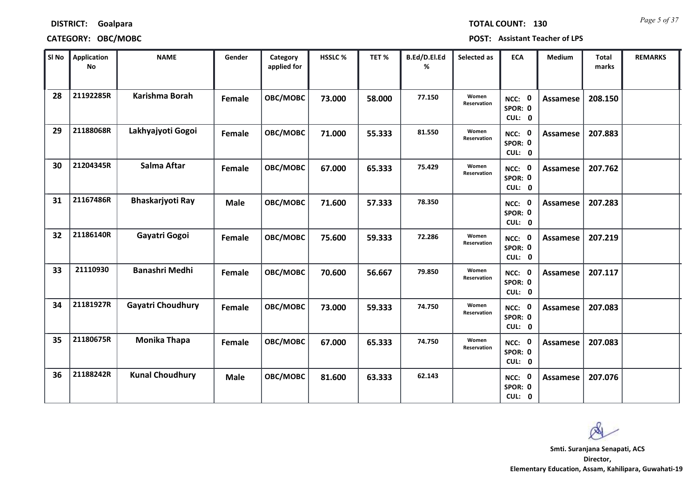# **DISTRICT: Goalpara CATEGORY: OBC/MOBC POST: Assistant Teacher of LPS**

*Page 5 of 37* **TOTAL COUNT: 130**

| SI No | Application<br><b>No</b> | <b>NAME</b>              | Gender      | Category<br>applied for | HSSLC% | TET %  | B.Ed/D.El.Ed<br>% | Selected as          | <b>ECA</b>                  | <b>Medium</b>   | <b>Total</b><br>marks | <b>REMARKS</b> |
|-------|--------------------------|--------------------------|-------------|-------------------------|--------|--------|-------------------|----------------------|-----------------------------|-----------------|-----------------------|----------------|
| 28    | 21192285R                | Karishma Borah           | Female      | OBC/MOBC                | 73.000 | 58.000 | 77.150            | Women<br>Reservation | NCC: 0<br>SPOR: 0<br>CUL: 0 | <b>Assamese</b> | 208.150               |                |
| 29    | 21188068R                | Lakhyajyoti Gogoi        | Female      | OBC/MOBC                | 71.000 | 55.333 | 81.550            | Women<br>Reservation | NCC: 0<br>SPOR: 0<br>CUL: 0 | Assamese        | 207.883               |                |
| 30    | 21204345R                | Salma Aftar              | Female      | OBC/MOBC                | 67.000 | 65.333 | 75.429            | Women<br>Reservation | NCC: 0<br>SPOR: 0<br>CUL: 0 | Assamese        | 207.762               |                |
| 31    | 21167486R                | Bhaskarjyoti Ray         | <b>Male</b> | OBC/MOBC                | 71.600 | 57.333 | 78.350            |                      | NCC: 0<br>SPOR: 0<br>CUL: 0 | Assamese        | 207.283               |                |
| 32    | 21186140R                | Gayatri Gogoi            | Female      | OBC/MOBC                | 75.600 | 59.333 | 72.286            | Women<br>Reservation | NCC: 0<br>SPOR: 0<br>CUL: 0 | Assamese        | 207.219               |                |
| 33    | 21110930                 | <b>Banashri Medhi</b>    | Female      | OBC/MOBC                | 70.600 | 56.667 | 79.850            | Women<br>Reservation | NCC: 0<br>SPOR: 0<br>CUL: 0 | <b>Assamese</b> | 207.117               |                |
| 34    | 21181927R                | <b>Gayatri Choudhury</b> | Female      | OBC/MOBC                | 73.000 | 59.333 | 74.750            | Women<br>Reservation | NCC: 0<br>SPOR: 0<br>CUL: 0 | <b>Assamese</b> | 207.083               |                |
| 35    | 21180675R                | <b>Monika Thapa</b>      | Female      | OBC/MOBC                | 67.000 | 65.333 | 74.750            | Women<br>Reservation | NCC: 0<br>SPOR: 0<br>CUL: 0 | <b>Assamese</b> | 207.083               |                |
| 36    | 21188242R                | <b>Kunal Choudhury</b>   | <b>Male</b> | OBC/MOBC                | 81.600 | 63.333 | 62.143            |                      | NCC: 0<br>SPOR: 0<br>CUL: 0 | <b>Assamese</b> | 207.076               |                |

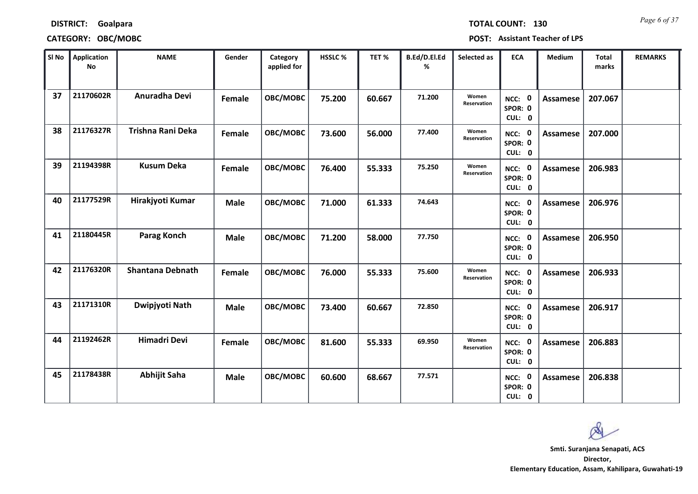# **DISTRICT: Goalpara CATEGORY: OBC/MOBC POST: Assistant Teacher of LPS**

*Page 6 of 37* **TOTAL COUNT: 130**

| $\mathbf{r}$<br>SPOR: 0<br>CUL: 0 | AJJUILLJU LUV.UUJ  |  |  |
|-----------------------------------|--------------------|--|--|
| NCC:                              | Assamese   206.838 |  |  |

| SI No | <b>Application</b><br>No | <b>NAME</b>             | Gender      | Category<br>applied for | HSSLC% | TET%   | B.Ed/D.El.Ed<br>% | Selected as                 | <b>ECA</b>                  | Medium          | <b>Total</b><br>marks | <b>REMARKS</b> |
|-------|--------------------------|-------------------------|-------------|-------------------------|--------|--------|-------------------|-----------------------------|-----------------------------|-----------------|-----------------------|----------------|
| 37    | 21170602R                | Anuradha Devi           | Female      | OBC/MOBC                | 75.200 | 60.667 | 71.200            | Women<br><b>Reservation</b> | NCC: 0<br>SPOR: 0<br>CUL: 0 | Assamese        | 207.067               |                |
| 38    | 21176327R                | Trishna Rani Deka       | Female      | OBC/MOBC                | 73.600 | 56.000 | 77.400            | Women<br><b>Reservation</b> | NCC: 0<br>SPOR: 0<br>CUL: 0 | Assamese        | 207.000               |                |
| 39    | 21194398R                | <b>Kusum Deka</b>       | Female      | OBC/MOBC                | 76.400 | 55.333 | 75.250            | Women<br>Reservation        | NCC: 0<br>SPOR: 0<br>CUL: 0 | <b>Assamese</b> | 206.983               |                |
| 40    | 21177529R                | Hirakjyoti Kumar        | <b>Male</b> | OBC/MOBC                | 71.000 | 61.333 | 74.643            |                             | NCC: 0<br>SPOR: 0<br>CUL: 0 | Assamese        | 206.976               |                |
| 41    | 21180445R                | <b>Parag Konch</b>      | <b>Male</b> | OBC/MOBC                | 71.200 | 58.000 | 77.750            |                             | NCC: 0<br>SPOR: 0<br>CUL: 0 | Assamese        | 206.950               |                |
| 42    | 21176320R                | <b>Shantana Debnath</b> | Female      | OBC/MOBC                | 76.000 | 55.333 | 75.600            | Women<br>Reservation        | NCC: 0<br>SPOR: 0<br>CUL: 0 | Assamese        | 206.933               |                |
| 43    | 21171310R                | Dwipjyoti Nath          | <b>Male</b> | OBC/MOBC                | 73.400 | 60.667 | 72.850            |                             | NCC: 0<br>SPOR: 0<br>CUL: 0 | Assamese        | 206.917               |                |
| 44    | 21192462R                | <b>Himadri Devi</b>     | Female      | OBC/MOBC                | 81.600 | 55.333 | 69.950            | Women<br>Reservation        | NCC: 0<br>SPOR: 0<br>CUL: 0 | <b>Assamese</b> | 206.883               |                |
| 45    | 21178438R                | <b>Abhijit Saha</b>     | <b>Male</b> | OBC/MOBC                | 60.600 | 68.667 | 77.571            |                             | NCC: 0<br>SPOR: 0<br>CUL: 0 | Assamese        | 206.838               |                |

**Director, Elementary Education, Assam, Kahilipara, Guwahati-19 Smti. Suranjana Senapati, ACS**

Ø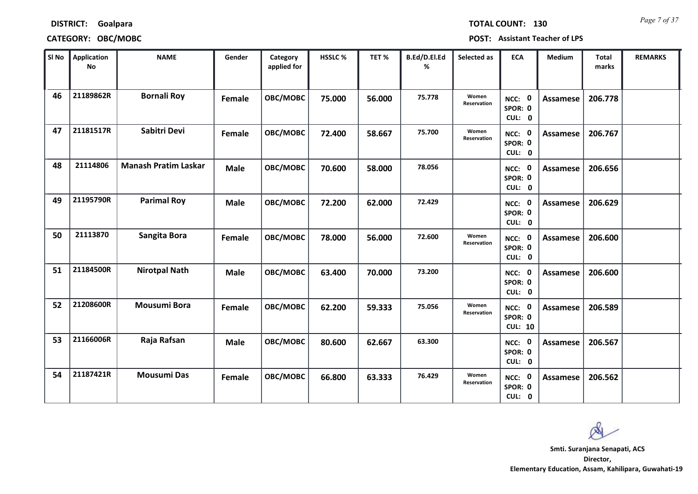| <b>DISTRICT:</b> | Goalpara |
|------------------|----------|
|------------------|----------|

*Page 7 of 37* **TOTAL COUNT: 130**

**CATEGORY: OBC/MOBC POST: Assistant Teacher of LPS**

| SI No | Application<br><b>No</b> | <b>NAME</b>                 | Gender      | Category<br>applied for | HSSLC% | TET %  | B.Ed/D.El.Ed<br>% | Selected as                 | <b>ECA</b>                          | <b>Medium</b>   | <b>Total</b><br>marks | <b>REMARKS</b> |
|-------|--------------------------|-----------------------------|-------------|-------------------------|--------|--------|-------------------|-----------------------------|-------------------------------------|-----------------|-----------------------|----------------|
| 46    | 21189862R                | <b>Bornali Roy</b>          | Female      | OBC/MOBC                | 75.000 | 56.000 | 75.778            | Women<br><b>Reservation</b> | NCC: 0<br>SPOR: 0<br>CUL: 0         | Assamese        | 206.778               |                |
| 47    | 21181517R                | Sabitri Devi                | Female      | OBC/MOBC                | 72.400 | 58.667 | 75.700            | Women<br>Reservation        | NCC: 0<br>SPOR: 0<br>CUL: 0         | Assamese        | 206.767               |                |
| 48    | 21114806                 | <b>Manash Pratim Laskar</b> | <b>Male</b> | OBC/MOBC                | 70.600 | 58.000 | 78.056            |                             | NCC: 0<br>SPOR: 0<br>CUL: 0         | Assamese        | 206.656               |                |
| 49    | 21195790R                | <b>Parimal Roy</b>          | <b>Male</b> | OBC/MOBC                | 72.200 | 62.000 | 72.429            |                             | NCC: 0<br>SPOR: 0<br>CUL: 0         | Assamese        | 206.629               |                |
| 50    | 21113870                 | Sangita Bora                | Female      | OBC/MOBC                | 78.000 | 56.000 | 72.600            | Women<br><b>Reservation</b> | NCC: 0<br>SPOR: 0<br>CUL: 0         | Assamese        | 206.600               |                |
| 51    | 21184500R                | <b>Nirotpal Nath</b>        | <b>Male</b> | OBC/MOBC                | 63.400 | 70.000 | 73.200            |                             | NCC: 0<br>SPOR: 0<br>CUL: 0         | <b>Assamese</b> | 206.600               |                |
| 52    | 21208600R                | <b>Mousumi Bora</b>         | Female      | OBC/MOBC                | 62.200 | 59.333 | 75.056            | Women<br>Reservation        | NCC: 0<br>SPOR: 0<br><b>CUL: 10</b> | <b>Assamese</b> | 206.589               |                |
| 53    | 21166006R                | Raja Rafsan                 | <b>Male</b> | OBC/MOBC                | 80.600 | 62.667 | 63.300            |                             | NCC: 0<br>SPOR: 0<br>CUL: 0         | <b>Assamese</b> | 206.567               |                |
| 54    | 21187421R                | <b>Mousumi Das</b>          | Female      | OBC/MOBC                | 66.800 | 63.333 | 76.429            | Women<br>Reservation        | NCC: 0<br>SPOR: 0<br>CUL: 0         | Assamese        | 206.562               |                |

 $\infty$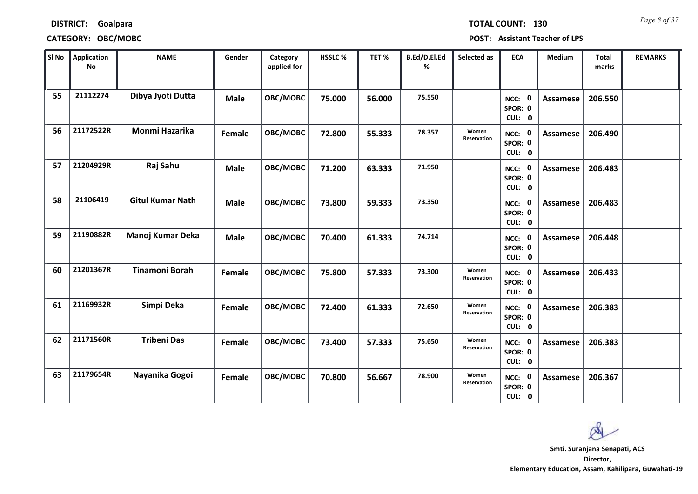| <b>DISTRICT:</b> | Goalpara |
|------------------|----------|
|------------------|----------|

### **CATEGORY: OBC/MOBC POST: Assistant Teacher of LPS**

*Page 8 of 37* **TOTAL COUNT: 130**

| SI <sub>No</sub> | <b>Application</b><br>No | <b>NAME</b>             | Gender      | Category<br>applied for | HSSLC % | TET %  | B.Ed/D.El.Ed<br>% | Selected as          | <b>ECA</b>                     | <b>Medium</b>   | <b>Total</b><br>marks | <b>REMARKS</b> |
|------------------|--------------------------|-------------------------|-------------|-------------------------|---------|--------|-------------------|----------------------|--------------------------------|-----------------|-----------------------|----------------|
| 55               | 21112274                 | Dibya Jyoti Dutta       | <b>Male</b> | OBC/MOBC                | 75.000  | 56.000 | 75.550            |                      | NCC: 0<br>SPOR: 0<br>CUL: 0    | <b>Assamese</b> | 206.550               |                |
| 56               | 21172522R                | Monmi Hazarika          | Female      | OBC/MOBC                | 72.800  | 55.333 | 78.357            | Women<br>Reservation | NCC: 0<br>SPOR: 0<br>CUL: 0    | Assamese        | 206.490               |                |
| 57               | 21204929R                | Raj Sahu                | <b>Male</b> | OBC/MOBC                | 71.200  | 63.333 | 71.950            |                      | NCC: 0<br>SPOR: 0<br>CUL: 0    | Assamese        | 206.483               |                |
| 58               | 21106419                 | <b>Gitul Kumar Nath</b> | <b>Male</b> | OBC/MOBC                | 73.800  | 59.333 | 73.350            |                      | 0<br>NCC:<br>SPOR: 0<br>CUL: 0 | Assamese        | 206.483               |                |
| 59               | 21190882R                | Manoj Kumar Deka        | <b>Male</b> | OBC/MOBC                | 70.400  | 61.333 | 74.714            |                      | NCC: 0<br>SPOR: 0<br>CUL: 0    | Assamese        | 206.448               |                |
| 60               | 21201367R                | <b>Tinamoni Borah</b>   | Female      | OBC/MOBC                | 75.800  | 57.333 | 73.300            | Women<br>Reservation | NCC: 0<br>SPOR: 0<br>CUL: 0    | Assamese        | 206.433               |                |
| 61               | 21169932R                | Simpi Deka              | Female      | OBC/MOBC                | 72.400  | 61.333 | 72.650            | Women<br>Reservation | NCC: 0<br>SPOR: 0<br>CUL: 0    | <b>Assamese</b> | 206.383               |                |
| 62               | 21171560R                | <b>Tribeni Das</b>      | Female      | OBC/MOBC                | 73.400  | 57.333 | 75.650            | Women<br>Reservation | NCC: 0<br>SPOR: 0<br>CUL: 0    | <b>Assamese</b> | 206.383               |                |
| 63               | 21179654R                | Nayanika Gogoi          | Female      | OBC/MOBC                | 70.800  | 56.667 | 78.900            | Women<br>Reservation | NCC: 0<br>SPOR: 0<br>CUL: 0    | Assamese        | 206.367               |                |

 $\infty$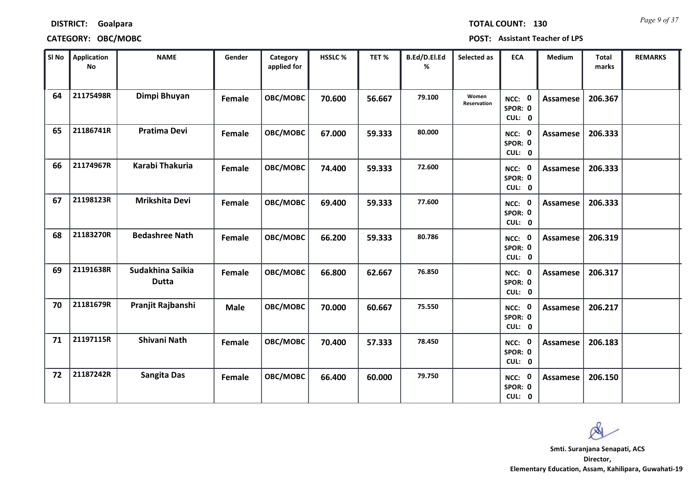| <b>DISTRICT:</b> | Goalpara |
|------------------|----------|
|------------------|----------|

### **CATEGORY: OBC/MOBC POST: Assistant Teacher of LPS**

*Page 9 of 37* **TOTAL COUNT: 130**

| SI <sub>No</sub> | <b>Application</b><br><b>No</b> | <b>NAME</b>                      | Gender      | Category<br>applied for | <b>HSSLC %</b> | TET %  | B.Ed/D.El.Ed<br>% | Selected as                 | <b>ECA</b>                  | Medium          | <b>Total</b><br>marks | <b>REMARKS</b> |
|------------------|---------------------------------|----------------------------------|-------------|-------------------------|----------------|--------|-------------------|-----------------------------|-----------------------------|-----------------|-----------------------|----------------|
| 64               | 21175498R                       | Dimpi Bhuyan                     | Female      | OBC/MOBC                | 70.600         | 56.667 | 79.100            | Women<br><b>Reservation</b> | NCC: 0<br>SPOR: 0<br>CUL: 0 | <b>Assamese</b> | 206.367               |                |
| 65               | 21186741R                       | <b>Pratima Devi</b>              | Female      | OBC/MOBC                | 67.000         | 59.333 | 80.000            |                             | NCC: 0<br>SPOR: 0<br>CUL: 0 | Assamese        | 206.333               |                |
| 66               | 21174967R                       | Karabi Thakuria                  | Female      | OBC/MOBC                | 74.400         | 59.333 | 72.600            |                             | NCC: 0<br>SPOR: 0<br>CUL: 0 | <b>Assamese</b> | 206.333               |                |
| 67               | 21198123R                       | Mrikshita Devi                   | Female      | OBC/MOBC                | 69.400         | 59.333 | 77.600            |                             | NCC: 0<br>SPOR: 0<br>CUL: 0 | <b>Assamese</b> | 206.333               |                |
| 68               | 21183270R                       | <b>Bedashree Nath</b>            | Female      | OBC/MOBC                | 66.200         | 59.333 | 80.786            |                             | NCC: 0<br>SPOR: 0<br>CUL: 0 | Assamese        | 206.319               |                |
| 69               | 21191638R                       | Sudakhina Saikia<br><b>Dutta</b> | Female      | OBC/MOBC                | 66.800         | 62.667 | 76.850            |                             | NCC: 0<br>SPOR: 0<br>CUL: 0 | <b>Assamese</b> | 206.317               |                |
| 70               | 21181679R                       | Pranjit Rajbanshi                | <b>Male</b> | OBC/MOBC                | 70.000         | 60.667 | 75.550            |                             | NCC: 0<br>SPOR: 0<br>CUL: 0 | <b>Assamese</b> | 206.217               |                |
| 71               | 21197115R                       | <b>Shivani Nath</b>              | Female      | OBC/MOBC                | 70.400         | 57.333 | 78.450            |                             | NCC: 0<br>SPOR: 0<br>CUL: 0 | Assamese        | 206.183               |                |
| 72               | 21187242R                       | <b>Sangita Das</b>               | Female      | OBC/MOBC                | 66.400         | 60.000 | 79.750            |                             | NCC: 0<br>SPOR: 0<br>CUL: 0 | Assamese        | 206.150               |                |

 $\infty$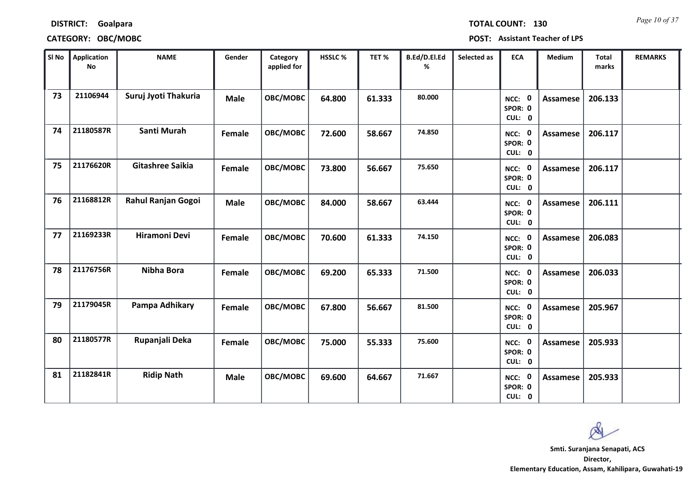| <b>TOTAL COUNT:</b> |  |  | 13 |
|---------------------|--|--|----|
|                     |  |  |    |

### **DISTRICT: Goalpara**

### **CATEGORY: OBC/MOBC POST: Assistant Teacher of LPS**

| SI No | <b>Application</b><br>No | <b>NAME</b>             | Gender      | Category<br>applied for | HSSLC % | TET %  | B.Ed/D.El.Ed<br>% | Selected as | <b>ECA</b>                  | <b>Medium</b>   | <b>Total</b><br>marks | <b>REMARKS</b> |
|-------|--------------------------|-------------------------|-------------|-------------------------|---------|--------|-------------------|-------------|-----------------------------|-----------------|-----------------------|----------------|
| 73    | 21106944                 | Suruj Jyoti Thakuria    | <b>Male</b> | OBC/MOBC                | 64.800  | 61.333 | 80.000            |             | NCC: 0<br>SPOR: 0<br>CUL: 0 | <b>Assamese</b> | 206.133               |                |
| 74    | 21180587R                | Santi Murah             | Female      | OBC/MOBC                | 72.600  | 58.667 | 74.850            |             | NCC: 0<br>SPOR: 0<br>CUL: 0 | <b>Assamese</b> | 206.117               |                |
| 75    | 21176620R                | <b>Gitashree Saikia</b> | Female      | OBC/MOBC                | 73.800  | 56.667 | 75.650            |             | NCC: 0<br>SPOR: 0<br>CUL: 0 | <b>Assamese</b> | 206.117               |                |
| 76    | 21168812R                | Rahul Ranjan Gogoi      | <b>Male</b> | OBC/MOBC                | 84.000  | 58.667 | 63.444            |             | NCC: 0<br>SPOR: 0<br>CUL: 0 | <b>Assamese</b> | 206.111               |                |
| 77    | 21169233R                | <b>Hiramoni Devi</b>    | Female      | OBC/MOBC                | 70.600  | 61.333 | 74.150            |             | NCC: 0<br>SPOR: 0<br>CUL: 0 | <b>Assamese</b> | 206.083               |                |
| 78    | 21176756R                | Nibha Bora              | Female      | OBC/MOBC                | 69.200  | 65.333 | 71.500            |             | NCC: 0<br>SPOR: 0<br>CUL: 0 | <b>Assamese</b> | 206.033               |                |
| 79    | 21179045R                | Pampa Adhikary          | Female      | OBC/MOBC                | 67.800  | 56.667 | 81.500            |             | NCC: 0<br>SPOR: 0<br>CUL: 0 | <b>Assamese</b> | 205.967               |                |
| 80    | 21180577R                | Rupanjali Deka          | Female      | OBC/MOBC                | 75.000  | 55.333 | 75.600            |             | NCC: 0<br>SPOR: 0<br>CUL: 0 | <b>Assamese</b> | 205.933               |                |
| 81    | 21182841R                | <b>Ridip Nath</b>       | <b>Male</b> | OBC/MOBC                | 69.600  | 64.667 | 71.667            |             | NCC: 0<br>SPOR: 0<br>CUL: 0 | Assamese        | 205.933               |                |

 $\infty$ 

*Page 10 of 37*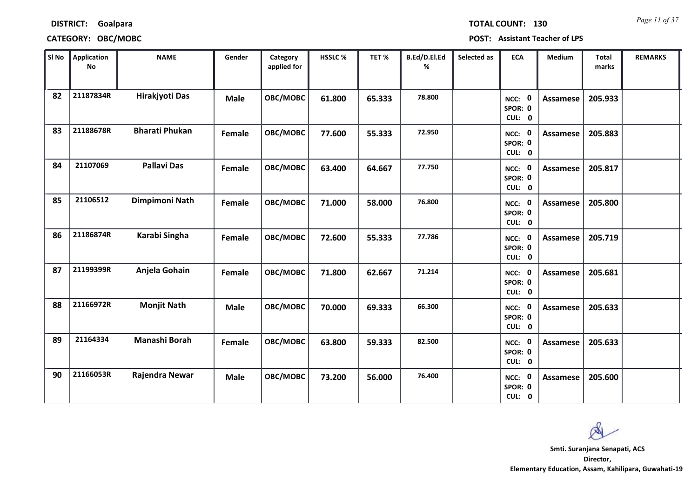| <b>DISTRICT:</b> | Goalpara |  |
|------------------|----------|--|
|                  |          |  |

### **CATEGORY: OBC/MOBC POST: Assistant Teacher of LPS**

*Page 11 of 37* **TOTAL COUNT: 130**

| SI No | <b>Application</b><br>No | <b>NAME</b>           | Gender      | Category<br>applied for | HSSLC % | TET %  | B.Ed/D.El.Ed<br>% | Selected as | <b>ECA</b>                  | <b>Medium</b>   | <b>Total</b><br>marks | <b>REMARKS</b> |
|-------|--------------------------|-----------------------|-------------|-------------------------|---------|--------|-------------------|-------------|-----------------------------|-----------------|-----------------------|----------------|
| 82    | 21187834R                | Hirakjyoti Das        | <b>Male</b> | OBC/MOBC                | 61.800  | 65.333 | 78.800            |             | NCC: 0<br>SPOR: 0<br>CUL: 0 | Assamese        | 205.933               |                |
| 83    | 21188678R                | <b>Bharati Phukan</b> | Female      | OBC/MOBC                | 77.600  | 55.333 | 72.950            |             | NCC: 0<br>SPOR: 0<br>CUL: 0 | Assamese        | 205.883               |                |
| 84    | 21107069                 | <b>Pallavi Das</b>    | Female      | OBC/MOBC                | 63.400  | 64.667 | 77.750            |             | NCC: 0<br>SPOR: 0<br>CUL: 0 | <b>Assamese</b> | 205.817               |                |
| 85    | 21106512                 | Dimpimoni Nath        | Female      | OBC/MOBC                | 71.000  | 58.000 | 76.800            |             | NCC: 0<br>SPOR: 0<br>CUL: 0 | Assamese        | 205.800               |                |
| 86    | 21186874R                | Karabi Singha         | Female      | OBC/MOBC                | 72.600  | 55.333 | 77.786            |             | NCC: 0<br>SPOR: 0<br>CUL: 0 | Assamese        | 205.719               |                |
| 87    | 21199399R                | Anjela Gohain         | Female      | OBC/MOBC                | 71.800  | 62.667 | 71.214            |             | NCC: 0<br>SPOR: 0<br>CUL: 0 | <b>Assamese</b> | 205.681               |                |
| 88    | 21166972R                | <b>Monjit Nath</b>    | <b>Male</b> | OBC/MOBC                | 70.000  | 69.333 | 66.300            |             | NCC: 0<br>SPOR: 0<br>CUL: 0 | <b>Assamese</b> | 205.633               |                |
| 89    | 21164334                 | Manashi Borah         | Female      | OBC/MOBC                | 63.800  | 59.333 | 82.500            |             | NCC: 0<br>SPOR: 0<br>CUL: 0 | <b>Assamese</b> | 205.633               |                |
| 90    | 21166053R                | Rajendra Newar        | <b>Male</b> | OBC/MOBC                | 73.200  | 56.000 | 76.400            |             | NCC: 0<br>SPOR: 0<br>CUL: 0 | <b>Assamese</b> | 205.600               |                |

Q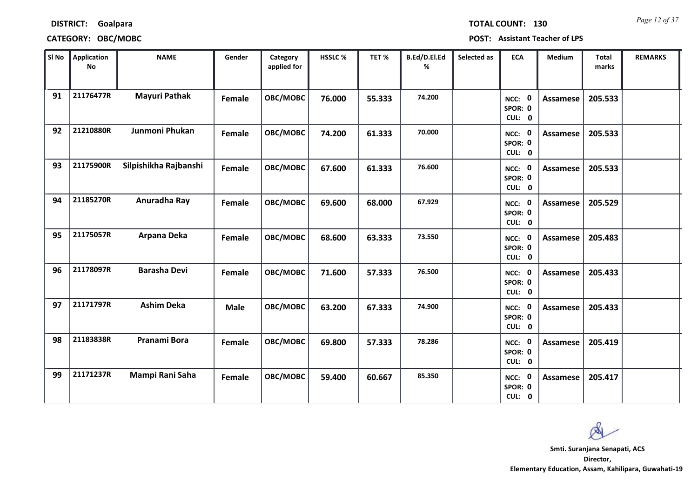| <b>DISTRICT:</b> | Goalpara |
|------------------|----------|
|                  |          |

### **CATEGORY: OBC/MOBC POST: Assistant Teacher of LPS**

*Page 12 of 37* **TOTAL COUNT: 130**

| SI No | <b>Application</b><br><b>No</b> | <b>NAME</b>           | Gender      | Category<br>applied for | HSSLC % | TET %  | B.Ed/D.El.Ed<br>% | Selected as | <b>ECA</b>                  | <b>Medium</b>   | <b>Total</b><br>marks | <b>REMARKS</b> |
|-------|---------------------------------|-----------------------|-------------|-------------------------|---------|--------|-------------------|-------------|-----------------------------|-----------------|-----------------------|----------------|
| 91    | 21176477R                       | <b>Mayuri Pathak</b>  | Female      | <b>OBC/MOBC</b>         | 76.000  | 55.333 | 74.200            |             | NCC: 0<br>SPOR: 0<br>CUL: 0 | <b>Assamese</b> | 205.533               |                |
| 92    | 21210880R                       | Junmoni Phukan        | Female      | OBC/MOBC                | 74.200  | 61.333 | 70.000            |             | NCC: 0<br>SPOR: 0<br>CUL: 0 | Assamese        | 205.533               |                |
| 93    | 21175900R                       | Silpishikha Rajbanshi | Female      | OBC/MOBC                | 67.600  | 61.333 | 76.600            |             | NCC: 0<br>SPOR: 0<br>CUL: 0 | <b>Assamese</b> | 205.533               |                |
| 94    | 21185270R                       | Anuradha Ray          | Female      | OBC/MOBC                | 69.600  | 68.000 | 67.929            |             | NCC: 0<br>SPOR: 0<br>CUL: 0 | Assamese        | 205.529               |                |
| 95    | 21175057R                       | Arpana Deka           | Female      | OBC/MOBC                | 68.600  | 63.333 | 73.550            |             | NCC: 0<br>SPOR: 0<br>CUL: 0 | Assamese        | 205.483               |                |
| 96    | 21178097R                       | <b>Barasha Devi</b>   | Female      | OBC/MOBC                | 71.600  | 57.333 | 76.500            |             | NCC: 0<br>SPOR: 0<br>CUL: 0 | <b>Assamese</b> | 205.433               |                |
| 97    | 21171797R                       | <b>Ashim Deka</b>     | <b>Male</b> | OBC/MOBC                | 63.200  | 67.333 | 74.900            |             | NCC: 0<br>SPOR: 0<br>CUL: 0 | <b>Assamese</b> | 205.433               |                |
| 98    | 21183838R                       | Pranami Bora          | Female      | OBC/MOBC                | 69.800  | 57.333 | 78.286            |             | NCC: 0<br>SPOR: 0<br>CUL: 0 | <b>Assamese</b> | 205.419               |                |
| 99    | 21171237R                       | Mampi Rani Saha       | Female      | OBC/MOBC                | 59.400  | 60.667 | 85.350            |             | NCC: 0<br>SPOR: 0<br>CUL: 0 | Assamese        | 205.417               |                |

Ø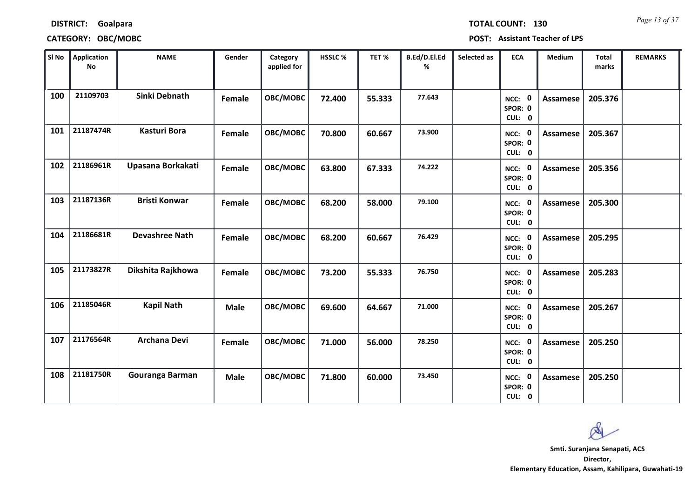# **DISTRICT: Goalpara CATEGORY: OBC/MOBC POST: Assistant Teacher of LPS**

*Page 13 of 37* **TOTAL COUNT: 130**

| SI No | Application<br>No | <b>NAME</b>           | Gender      | Category<br>applied for | HSSLC % | TET %  | B.Ed/D.El.Ed<br>% | Selected as | <b>ECA</b>                  | <b>Medium</b>   | <b>Total</b><br>marks | <b>REMARKS</b> |
|-------|-------------------|-----------------------|-------------|-------------------------|---------|--------|-------------------|-------------|-----------------------------|-----------------|-----------------------|----------------|
| 100   | 21109703          | Sinki Debnath         | Female      | OBC/MOBC                | 72.400  | 55.333 | 77.643            |             | NCC: 0<br>SPOR: 0<br>CUL: 0 | <b>Assamese</b> | 205.376               |                |
| 101   | 21187474R         | <b>Kasturi Bora</b>   | Female      | OBC/MOBC                | 70.800  | 60.667 | 73.900            |             | NCC: 0<br>SPOR: 0<br>CUL: 0 | Assamese        | 205.367               |                |
| 102   | 21186961R         | Upasana Borkakati     | Female      | OBC/MOBC                | 63.800  | 67.333 | 74.222            |             | NCC: 0<br>SPOR: 0<br>CUL: 0 | <b>Assamese</b> | 205.356               |                |
| 103   | 21187136R         | <b>Bristi Konwar</b>  | Female      | OBC/MOBC                | 68.200  | 58.000 | 79.100            |             | NCC: 0<br>SPOR: 0<br>CUL: 0 | <b>Assamese</b> | 205.300               |                |
| 104   | 21186681R         | <b>Devashree Nath</b> | Female      | OBC/MOBC                | 68.200  | 60.667 | 76.429            |             | NCC: 0<br>SPOR: 0<br>CUL: 0 | Assamese        | 205.295               |                |
| 105   | 21173827R         | Dikshita Rajkhowa     | Female      | OBC/MOBC                | 73.200  | 55.333 | 76.750            |             | NCC: 0<br>SPOR: 0<br>CUL: 0 | <b>Assamese</b> | 205.283               |                |
| 106   | 21185046R         | <b>Kapil Nath</b>     | <b>Male</b> | OBC/MOBC                | 69.600  | 64.667 | 71.000            |             | NCC: 0<br>SPOR: 0<br>CUL: 0 | Assamese        | 205.267               |                |
| 107   | 21176564R         | Archana Devi          | Female      | OBC/MOBC                | 71.000  | 56.000 | 78.250            |             | NCC: 0<br>SPOR: 0<br>CUL: 0 | <b>Assamese</b> | 205.250               |                |
| 108   | 21181750R         | Gouranga Barman       | <b>Male</b> | OBC/MOBC                | 71.800  | 60.000 | 73.450            |             | NCC: 0<br>SPOR: 0<br>CUL: 0 | <b>Assamese</b> | 205.250               |                |

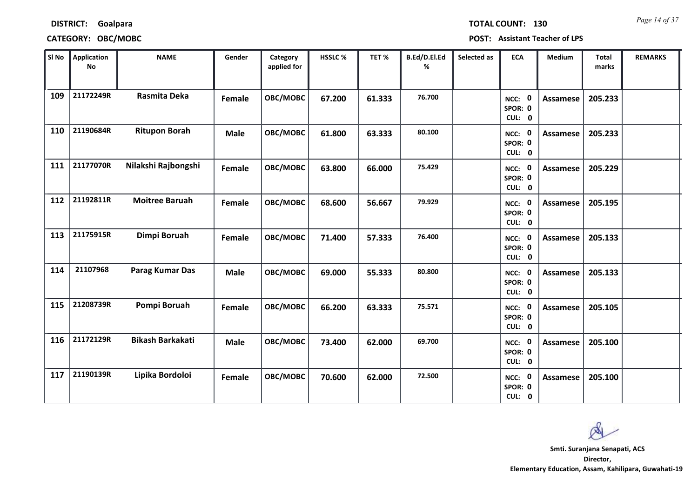## **DISTRICT: Goalpara CATEGORY: OBC/MOBC POST: Assistant Teacher of LPS**

**0 SPOR: 0 CUL:**

**0 SPOR: 0 CUL:**

**0 SPOR: 0 CUL:**

**NCC:**

**NCC:**

**NCC:**

| Sl No | <b>Application</b><br>No | <b>NAME</b>           | Gender | Category<br>applied for | <b>HSSLC %</b> | TET%   | B.Ed/D.El.Ed<br>% | Selected as | <b>ECA</b>                                | <b>Medium</b>   | <b>Total</b><br>marks | <b>REMARKS</b> |
|-------|--------------------------|-----------------------|--------|-------------------------|----------------|--------|-------------------|-------------|-------------------------------------------|-----------------|-----------------------|----------------|
| 109   | 21172249R                | Rasmita Deka          | Female | OBC/MOBC                | 67.200         | 61.333 | 76.700            |             | $\mathbf 0$<br>NCC:<br>SPOR: 0<br>CUL: 0  | Assamese        | 205.233               |                |
| 110   | 21190684R                | <b>Ritupon Borah</b>  | Male   | OBC/MOBC                | 61.800         | 63.333 | 80.100            |             | $\mathbf 0$<br>NCC:<br>SPOR: 0<br>CUL: 0  | Assamese        | 205.233               |                |
| 111   | 21177070R                | Nilakshi Rajbongshi   | Female | OBC/MOBC                | 63.800         | 66.000 | 75.429            |             | $\mathbf 0$<br>NCC:<br>SPOR: 0<br>CUL: 0  | Assamese        | 205.229               |                |
| 112   | 21192811R                | <b>Moitree Baruah</b> | Female | OBC/MOBC                | 68.600         | 56.667 | 79.929            |             | $\mathbf 0$<br>NCC:<br>SPOR: 0<br>CUL: 0  | <b>Assamese</b> | 205.195               |                |
| 113   | 21175915R                | Dimpi Boruah          | Female | OBC/MOBC                | 71.400         | 57.333 | 76.400            |             | $\mathbf{0}$<br>NCC:<br>SPOR: 0<br>CUL: 0 | Assamese        | 205.133               |                |
| 114   | 21107968                 | Parag Kumar Das       | Male   | OBC/MOBC                | 69.000         | 55.333 | 80.800            |             | $\mathbf 0$<br>NCC:<br>SPOR: 0<br>CUL: 0  | Assamese        | 205.133               |                |

**21208739R Pompi Boruah 115 Female OBC/MOBC 66.200 63.333 75.571 0 Assamese 205.105**

**116 21172129R Bikash Barkakati Male OBC/MOBC 73.400 62.000 69.700 0 Assamese 205.100**

**21190139R Lipika Bordoloi 117 Female OBC/MOBC 70.600 62.000 72.500 0 Assamese 205.100**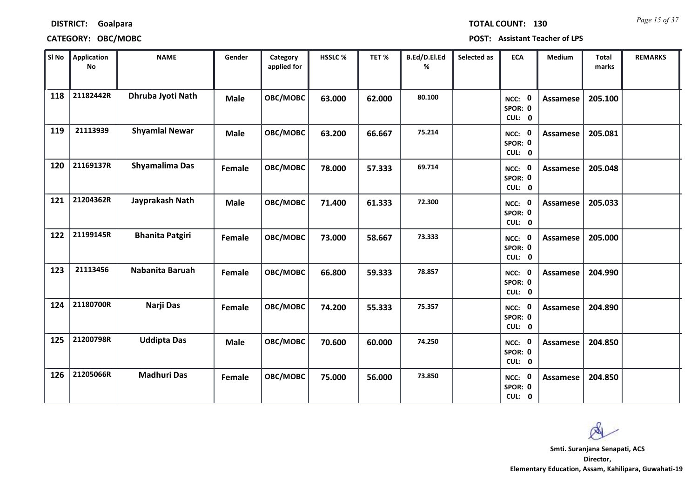| <b>TOTAL COUI</b> |  |  |
|-------------------|--|--|

### **DISTRICT: Goalpara**

### **CATEGORY: OBC/MOBC POST: Assistant Teacher of LPS**

| SI No | <b>Application</b><br><b>No</b> | <b>NAME</b>            | Gender      | Category<br>applied for | <b>HSSLC%</b> | TET %  | <b>B.Ed/D.El.Ed</b><br>% | Selected as | <b>ECA</b>                  | Medium          | Total<br>marks | <b>REMARKS</b> |
|-------|---------------------------------|------------------------|-------------|-------------------------|---------------|--------|--------------------------|-------------|-----------------------------|-----------------|----------------|----------------|
| 118   | 21182442R                       | Dhruba Jyoti Nath      | <b>Male</b> | OBC/MOBC                | 63.000        | 62.000 | 80.100                   |             | NCC: 0<br>SPOR: 0<br>CUL: 0 | Assamese        | 205.100        |                |
| 119   | 21113939                        | <b>Shyamlal Newar</b>  | <b>Male</b> | OBC/MOBC                | 63.200        | 66.667 | 75.214                   |             | NCC: 0<br>SPOR: 0<br>CUL: 0 | Assamese        | 205.081        |                |
| 120   | 21169137R                       | Shyamalima Das         | Female      | OBC/MOBC                | 78.000        | 57.333 | 69.714                   |             | NCC: 0<br>SPOR: 0<br>CUL: 0 | <b>Assamese</b> | 205.048        |                |
| 121   | 21204362R                       | Jayprakash Nath        | <b>Male</b> | OBC/MOBC                | 71.400        | 61.333 | 72.300                   |             | NCC: 0<br>SPOR: 0<br>CUL: 0 | Assamese        | 205.033        |                |
| 122   | 21199145R                       | <b>Bhanita Patgiri</b> | Female      | OBC/MOBC                | 73.000        | 58.667 | 73.333                   |             | NCC: 0<br>SPOR: 0<br>CUL: 0 | Assamese        | 205.000        |                |
| 123   | 21113456                        | Nabanita Baruah        | Female      | OBC/MOBC                | 66.800        | 59.333 | 78.857                   |             | NCC: 0<br>SPOR: 0<br>CUL: 0 | <b>Assamese</b> | 204.990        |                |
| 124   | 21180700R                       | Narji Das              | Female      | OBC/MOBC                | 74.200        | 55.333 | 75.357                   |             | NCC: 0<br>SPOR: 0<br>CUL: 0 | Assamese        | 204.890        |                |
| 125   | 21200798R                       | <b>Uddipta Das</b>     | <b>Male</b> | OBC/MOBC                | 70.600        | 60.000 | 74.250                   |             | NCC: 0<br>SPOR: 0<br>CUL: 0 | <b>Assamese</b> | 204.850        |                |
| 126   | 21205066R                       | <b>Madhuri Das</b>     | Female      | OBC/MOBC                | 75.000        | 56.000 | 73.850                   |             | NCC: 0<br>SPOR: 0<br>CUL: 0 | Assamese        | 204.850        |                |

Q

**Director, Elementary Education, Assam, Kahilipara, Guwahati-19 Smti. Suranjana Senapati, ACS**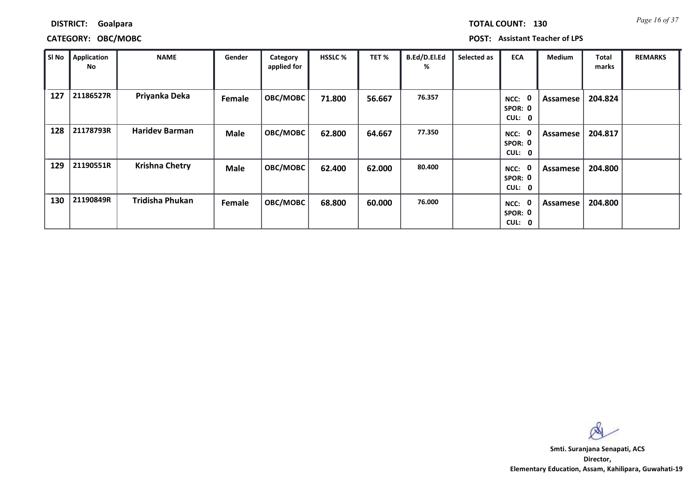*Page 16 of 37* **TOTAL COUNT: 130**

**DISTRICT: Goalpara**

**CATEGORY: OBC/MOBC POST: Assistant Teacher of LPS**

| SI No | Application<br>No | <b>NAME</b>            | Gender      | Category<br>applied for | <b>HSSLC %</b> | TET%   | B.Ed/D.El.Ed<br>% | Selected as | <b>ECA</b>                                 | <b>Medium</b> | Total<br>marks | <b>REMARKS</b> |
|-------|-------------------|------------------------|-------------|-------------------------|----------------|--------|-------------------|-------------|--------------------------------------------|---------------|----------------|----------------|
| 127   | 21186527R         | Priyanka Deka          | Female      | <b>OBC/MOBC</b>         | 71.800         | 56.667 | 76.357            |             | - 0<br>NCC:<br>SPOR: 0<br><b>CUL:</b><br>0 | Assamese      | 204.824        |                |
| 128   | 21178793R         | <b>Haridev Barman</b>  | <b>Male</b> | OBC/MOBC                | 62.800         | 64.667 | 77.350            |             | - 0<br>NCC:<br>SPOR: 0<br>CUL: 0           | Assamese      | 204.817        |                |
| 129   | 21190551R         | <b>Krishna Chetry</b>  | <b>Male</b> | OBC/MOBC                | 62.400         | 62.000 | 80.400            |             | -0<br>NCC:<br>SPOR: 0<br>CUL: 0            | Assamese      | 204.800        |                |
| 130   | 21190849R         | <b>Tridisha Phukan</b> | Female      | <b>OBC/MOBC</b>         | 68.800         | 60.000 | 76.000            |             | 0<br>NCC:<br>SPOR: 0<br><b>CUL:</b><br>- 0 | Assamese      | 204.800        |                |

Ø

**Director, Elementary Education, Assam, Kahilipara, Guwahati-19 Smti. Suranjana Senapati, ACS**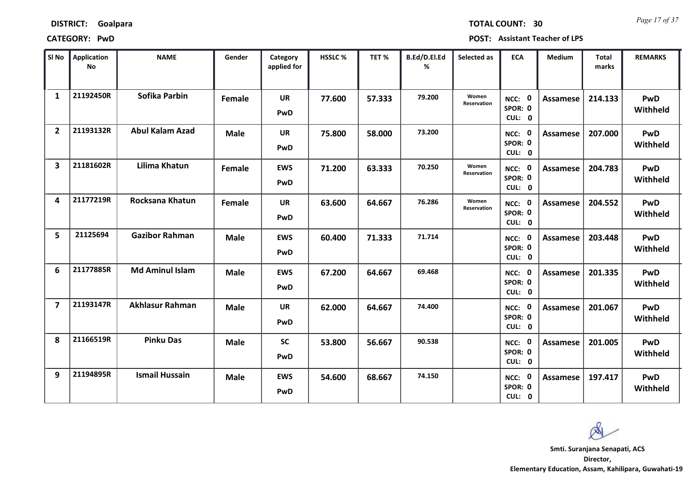| <b>DISTRICT:</b> | Goalpara |
|------------------|----------|
|------------------|----------|

*Page 17 of 37* **TOTAL COUNT: 30**

| SI No                   | <b>Application</b><br><b>No</b> | <b>NAME</b>            | Gender      | Category<br>applied for | <b>HSSLC %</b> | TET %  | B.Ed/D.El.Ed<br>% | Selected as          | <b>ECA</b>                               | <b>Medium</b>   | <b>Total</b><br>marks | <b>REMARKS</b>         |
|-------------------------|---------------------------------|------------------------|-------------|-------------------------|----------------|--------|-------------------|----------------------|------------------------------------------|-----------------|-----------------------|------------------------|
| $\mathbf{1}$            | 21192450R                       | Sofika Parbin          | Female      | <b>UR</b><br>PwD        | 77.600         | 57.333 | 79.200            | Women<br>Reservation | NCC: 0<br>SPOR: 0<br>CUL: 0              | <b>Assamese</b> | 214.133               | PwD<br>Withheld        |
| $\overline{2}$          | 21193132R                       | <b>Abul Kalam Azad</b> | Male        | <b>UR</b><br>PwD        | 75.800         | 58.000 | 73.200            |                      | NCC: 0<br>SPOR: 0<br>CUL: 0              | Assamese        | 207.000               | <b>PwD</b><br>Withheld |
| 3                       | 21181602R                       | Lilima Khatun          | Female      | <b>EWS</b><br>PwD       | 71.200         | 63.333 | 70.250            | Women<br>Reservation | NCC: 0<br>SPOR: 0<br>CUL: 0              | <b>Assamese</b> | 204.783               | PwD<br>Withheld        |
| $\overline{\mathbf{A}}$ | 21177219R                       | Rocksana Khatun        | Female      | <b>UR</b><br>PwD        | 63.600         | 64.667 | 76.286            | Women<br>Reservation | 0<br>NCC:<br>SPOR: 0<br>CUL: 0           | <b>Assamese</b> | 204.552               | PwD<br>Withheld        |
| 5                       | 21125694                        | <b>Gazibor Rahman</b>  | <b>Male</b> | <b>EWS</b><br>PwD       | 60.400         | 71.333 | 71.714            |                      | - 0<br>NCC:<br>SPOR: 0<br>CUL: 0         | <b>Assamese</b> | 203.448               | <b>PwD</b><br>Withheld |
| 6                       | 21177885R                       | <b>Md Aminul Islam</b> | <b>Male</b> | <b>EWS</b><br>PwD       | 67.200         | 64.667 | 69.468            |                      | 0<br>NCC:<br>SPOR: 0<br>CUL: 0           | <b>Assamese</b> | 201.335               | <b>PwD</b><br>Withheld |
| $\overline{\mathbf{z}}$ | 21193147R                       | <b>Akhlasur Rahman</b> | <b>Male</b> | <b>UR</b><br>PwD        | 62.000         | 64.667 | 74.400            |                      | NCC: 0<br>SPOR: 0<br>CUL: 0              | <b>Assamese</b> | 201.067               | PwD<br>Withheld        |
| 8                       | 21166519R                       | <b>Pinku Das</b>       | <b>Male</b> | <b>SC</b><br>PwD        | 53.800         | 56.667 | 90.538            |                      | 0<br>NCC:<br>SPOR: 0<br>CUL: 0           | <b>Assamese</b> | 201.005               | PwD<br>Withheld        |
| 9                       | 21194895R                       | <b>Ismail Hussain</b>  | Male        | <b>EWS</b><br>PwD       | 54.600         | 68.667 | 74.150            |                      | $\mathbf 0$<br>NCC:<br>SPOR: 0<br>CUL: 0 | Assamese        | 197.417               | <b>PwD</b><br>Withheld |

 $\infty$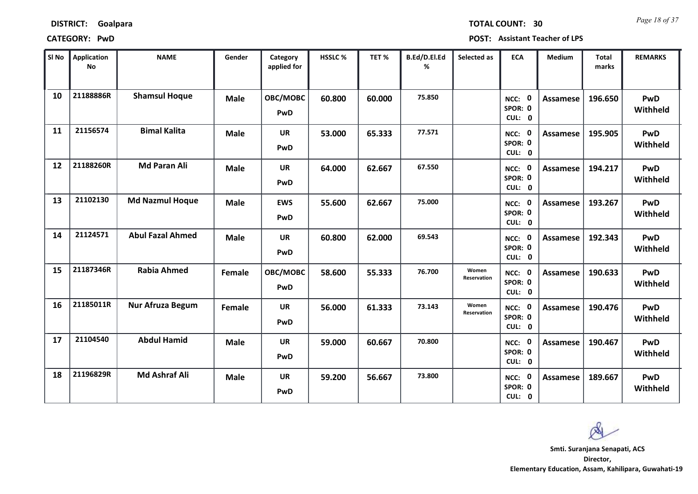*Page 18 of 37* **TOTAL COUNT: 30**

| SI No | <b>Application</b><br>No | <b>NAME</b>             | Gender      | Category<br>applied for | HSSLC % | TET %  | B.Ed/D.El.Ed<br>% | Selected as          | <b>ECA</b>                  | <b>Medium</b>   | <b>Total</b><br>marks | <b>REMARKS</b>  |
|-------|--------------------------|-------------------------|-------------|-------------------------|---------|--------|-------------------|----------------------|-----------------------------|-----------------|-----------------------|-----------------|
| 10    | 21188886R                | <b>Shamsul Hoque</b>    | <b>Male</b> | OBC/MOBC<br>PwD         | 60.800  | 60.000 | 75.850            |                      | NCC: 0<br>SPOR: 0<br>CUL: 0 | <b>Assamese</b> | 196.650               | PwD<br>Withheld |
| 11    | 21156574                 | <b>Bimal Kalita</b>     | <b>Male</b> | <b>UR</b><br>PwD        | 53.000  | 65.333 | 77.571            |                      | NCC: 0<br>SPOR: 0<br>CUL: 0 | <b>Assamese</b> | 195.905               | PwD<br>Withheld |
| 12    | 21188260R                | <b>Md Paran Ali</b>     | <b>Male</b> | <b>UR</b><br>PwD        | 64.000  | 62.667 | 67.550            |                      | NCC: 0<br>SPOR: 0<br>CUL: 0 | <b>Assamese</b> | 194.217               | PwD<br>Withheld |
| 13    | 21102130                 | <b>Md Nazmul Hoque</b>  | <b>Male</b> | <b>EWS</b><br>PwD       | 55.600  | 62.667 | 75.000            |                      | NCC: 0<br>SPOR: 0<br>CUL: 0 | <b>Assamese</b> | 193.267               | PwD<br>Withheld |
| 14    | 21124571                 | <b>Abul Fazal Ahmed</b> | <b>Male</b> | <b>UR</b><br>PwD        | 60.800  | 62.000 | 69.543            |                      | NCC: 0<br>SPOR: 0<br>CUL: 0 | Assamese        | 192.343               | PwD<br>Withheld |
| 15    | 21187346R                | <b>Rabia Ahmed</b>      | Female      | OBC/MOBC<br>PwD         | 58.600  | 55.333 | 76.700            | Women<br>Reservation | NCC: 0<br>SPOR: 0<br>CUL: 0 | <b>Assamese</b> | 190.633               | PwD<br>Withheld |
| 16    | 21185011R                | Nur Afruza Begum        | Female      | <b>UR</b><br>PwD        | 56.000  | 61.333 | 73.143            | Women<br>Reservation | NCC: 0<br>SPOR: 0<br>CUL: 0 | <b>Assamese</b> | 190.476               | PwD<br>Withheld |
| 17    | 21104540                 | <b>Abdul Hamid</b>      | <b>Male</b> | <b>UR</b><br>PwD        | 59.000  | 60.667 | 70.800            |                      | NCC: 0<br>SPOR: 0<br>CUL: 0 | <b>Assamese</b> | 190.467               | PwD<br>Withheld |
| 18    | 21196829R                | <b>Md Ashraf Ali</b>    | <b>Male</b> | <b>UR</b><br>PwD        | 59.200  | 56.667 | 73.800            |                      | NCC: 0<br>SPOR: 0<br>CUL: 0 | Assamese        | 189.667               | PwD<br>Withheld |

Ø **Smti. Suranjana Senapati, ACS**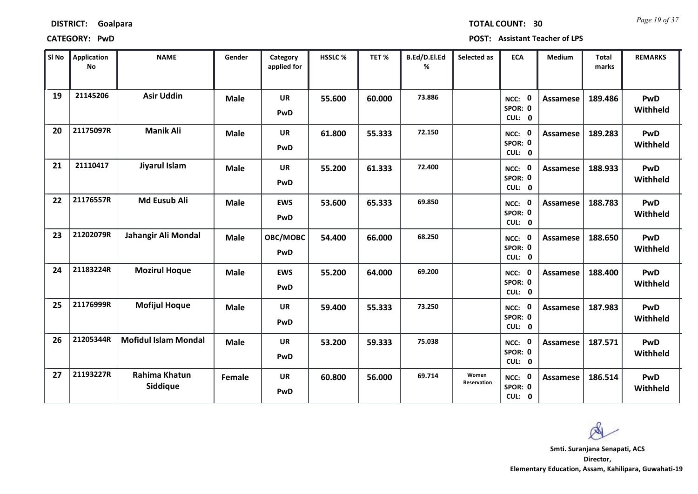*Page 19 of 37* **TOTAL COUNT: 30**

**CATEGORY: PwD POST: Assistant Teacher of LPS**

| SI No | <b>Application</b><br>No | <b>NAME</b>                      | Gender      | Category<br>applied for | <b>HSSLC%</b> | TET %  | B.Ed/D.El.Ed<br>% | Selected as          | <b>ECA</b>                     | <b>Medium</b>   | <b>Total</b><br>marks | <b>REMARKS</b>  |
|-------|--------------------------|----------------------------------|-------------|-------------------------|---------------|--------|-------------------|----------------------|--------------------------------|-----------------|-----------------------|-----------------|
| 19    | 21145206                 | <b>Asir Uddin</b>                | <b>Male</b> | <b>UR</b><br>PwD        | 55.600        | 60.000 | 73.886            |                      | 0<br>NCC:<br>SPOR: 0<br>CUL: 0 | <b>Assamese</b> | 189.486               | PwD<br>Withheld |
| 20    | 21175097R                | <b>Manik Ali</b>                 | <b>Male</b> | <b>UR</b><br>PwD        | 61.800        | 55.333 | 72.150            |                      | NCC: 0<br>SPOR: 0<br>CUL: 0    | <b>Assamese</b> | 189.283               | PwD<br>Withheld |
| 21    | 21110417                 | Jiyarul Islam                    | <b>Male</b> | <b>UR</b><br>PwD        | 55.200        | 61.333 | 72.400            |                      | NCC: 0<br>SPOR: 0<br>CUL: 0    | <b>Assamese</b> | 188.933               | PwD<br>Withheld |
| 22    | 21176557R                | <b>Md Eusub Ali</b>              | <b>Male</b> | <b>EWS</b><br>PwD       | 53.600        | 65.333 | 69.850            |                      | 0<br>NCC:<br>SPOR: 0<br>CUL: 0 | <b>Assamese</b> | 188.783               | PwD<br>Withheld |
| 23    | 21202079R                | Jahangir Ali Mondal              | Male        | OBC/MOBC<br>PwD         | 54.400        | 66.000 | 68.250            |                      | NCC: 0<br>SPOR: 0<br>CUL: 0    | <b>Assamese</b> | 188.650               | PwD<br>Withheld |
| 24    | 21183224R                | <b>Mozirul Hoque</b>             | <b>Male</b> | <b>EWS</b><br>PwD       | 55.200        | 64.000 | 69.200            |                      | NCC: 0<br>SPOR: 0<br>CUL: 0    | <b>Assamese</b> | 188.400               | PwD<br>Withheld |
| 25    | 21176999R                | <b>Mofijul Hoque</b>             | <b>Male</b> | <b>UR</b><br>PwD        | 59.400        | 55.333 | 73.250            |                      | NCC: 0<br>SPOR: 0<br>CUL: 0    | <b>Assamese</b> | 187.983               | PwD<br>Withheld |
| 26    | 21205344R                | <b>Mofidul Islam Mondal</b>      | <b>Male</b> | <b>UR</b><br>PwD        | 53.200        | 59.333 | 75.038            |                      | NCC: 0<br>SPOR: 0<br>CUL: 0    | <b>Assamese</b> | 187.571               | PwD<br>Withheld |
| 27    | 21193227R                | <b>Rahima Khatun</b><br>Siddique | Female      | <b>UR</b><br>PwD        | 60.800        | 56.000 | 69.714            | Women<br>Reservation | NCC: 0<br>SPOR: 0<br>CUL: 0    | Assamese        | 186.514               | PwD<br>Withheld |

**Director, Elementary Education, Assam, Kahilipara, Guwahati-19 Smti. Suranjana Senapati, ACS**

 $\infty$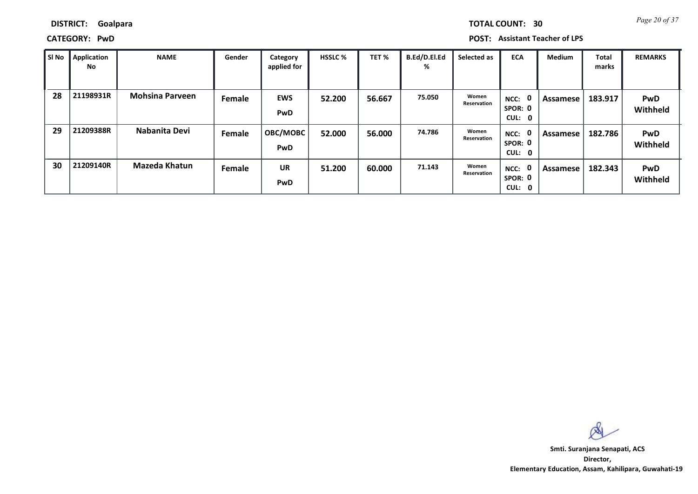**DISTRICT: Goalpara**

**CATEGORY: PwD POST: Assistant Teacher of LPS**

| SI No | Application<br>No | <b>NAME</b>            | Gender | Category<br>applied for | <b>HSSLC %</b> | TET %  | B.Ed/D.El.Ed<br>% | Selected as          | <b>ECA</b>                            | <b>Medium</b> | Total<br>marks | <b>REMARKS</b>         |
|-------|-------------------|------------------------|--------|-------------------------|----------------|--------|-------------------|----------------------|---------------------------------------|---------------|----------------|------------------------|
| 28    | 21198931R         | <b>Mohsina Parveen</b> | Female | <b>EWS</b><br>PwD       | 52.200         | 56.667 | 75.050            | Women<br>Reservation | 0<br>NCC:<br>SPOR: 0<br>CUL:<br>- 0   | Assamese      | 183.917        | PwD<br>Withheld        |
| 29    | 21209388R         | Nabanita Devi          | Female | OBC/MOBC<br>PwD         | 52.000         | 56.000 | 74.786            | Women<br>Reservation | - 0<br>NCC:<br>SPOR: 0<br>CUL: 0      | Assamese      | 182.786        | <b>PwD</b><br>Withheld |
| 30    | 21209140R         | <b>Mazeda Khatun</b>   | Female | <b>UR</b><br>PwD        | 51.200         | 60.000 | 71.143            | Women<br>Reservation | - 0<br>NCC:<br>SPOR: 0<br>CUL:<br>- 0 | Assamese      | 182.343        | <b>PwD</b><br>Withheld |

 $\infty$ 

**Director, Elementary Education, Assam, Kahilipara, Guwahati-19 Smti. Suranjana Senapati, ACS**

*Page 20 of 37* **TOTAL COUNT: 30**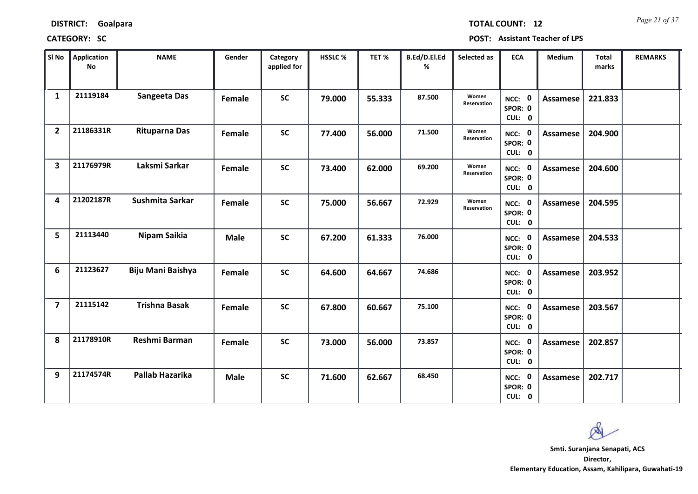*Page 21 of 37* **TOTAL COUNT: 12**

| SI <sub>No</sub>        | Application<br><b>No</b> | <b>NAME</b>            | Gender      | Category<br>applied for | <b>HSSLC%</b> | TET %  | B.Ed/D.El.Ed<br>% | Selected as                 | <b>ECA</b>                  | <b>Medium</b>   | Total<br>marks | <b>REMARKS</b> |
|-------------------------|--------------------------|------------------------|-------------|-------------------------|---------------|--------|-------------------|-----------------------------|-----------------------------|-----------------|----------------|----------------|
| $\mathbf{1}$            | 21119184                 | Sangeeta Das           | Female      | <b>SC</b>               | 79.000        | 55.333 | 87.500            | Women<br><b>Reservation</b> | NCC: 0<br>SPOR: 0<br>CUL: 0 | Assamese        | 221.833        |                |
| $\overline{2}$          | 21186331R                | <b>Rituparna Das</b>   | Female      | <b>SC</b>               | 77.400        | 56.000 | 71.500            | Women<br>Reservation        | NCC: 0<br>SPOR: 0<br>CUL: 0 | Assamese        | 204.900        |                |
| $\overline{\mathbf{3}}$ | 21176979R                | Laksmi Sarkar          | Female      | <b>SC</b>               | 73.400        | 62.000 | 69.200            | Women<br>Reservation        | NCC: 0<br>SPOR: 0<br>CUL: 0 | <b>Assamese</b> | 204.600        |                |
| 4                       | 21202187R                | Sushmita Sarkar        | Female      | <b>SC</b>               | 75.000        | 56.667 | 72.929            | Women<br>Reservation        | NCC: 0<br>SPOR: 0<br>CUL: 0 | Assamese        | 204.595        |                |
| 5                       | 21113440                 | Nipam Saikia           | <b>Male</b> | <b>SC</b>               | 67.200        | 61.333 | 76.000            |                             | NCC: 0<br>SPOR: 0<br>CUL: 0 | <b>Assamese</b> | 204.533        |                |
| 6                       | 21123627                 | Biju Mani Baishya      | Female      | <b>SC</b>               | 64.600        | 64.667 | 74.686            |                             | NCC: 0<br>SPOR: 0<br>CUL: 0 | <b>Assamese</b> | 203.952        |                |
| $\overline{7}$          | 21115142                 | <b>Trishna Basak</b>   | Female      | <b>SC</b>               | 67.800        | 60.667 | 75.100            |                             | NCC: 0<br>SPOR: 0<br>CUL: 0 | <b>Assamese</b> | 203.567        |                |
| 8                       | 21178910R                | Reshmi Barman          | Female      | <b>SC</b>               | 73.000        | 56.000 | 73.857            |                             | NCC: 0<br>SPOR: 0<br>CUL: 0 | <b>Assamese</b> | 202.857        |                |
| 9                       | 21174574R                | <b>Pallab Hazarika</b> | <b>Male</b> | <b>SC</b>               | 71.600        | 62.667 | 68.450            |                             | NCC: 0<br>SPOR: 0<br>CUL: 0 | Assamese        | 202.717        |                |

 $\infty$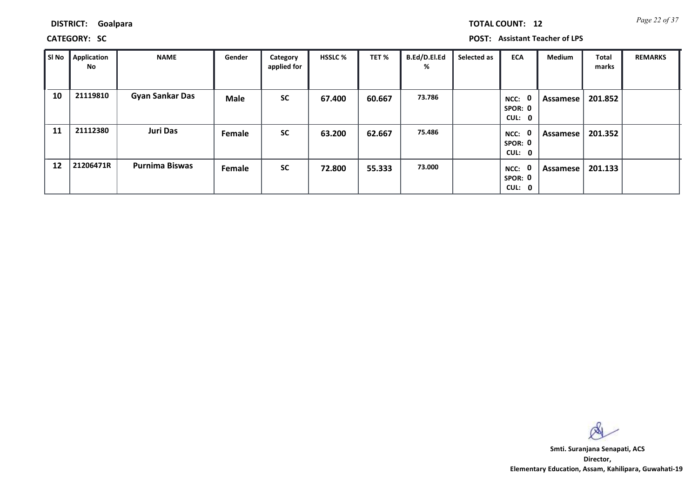**DISTRICT: Goalpara**

**CATEGORY: SC POST: Assistant Teacher of LPS**

| SI No | Application<br>No | <b>NAME</b>            | Gender | Category<br>applied for | <b>HSSLC %</b> | TET %  | B.Ed/D.El.Ed<br>% | Selected as | <b>ECA</b>                               | <b>Medium</b> | Total<br>marks | <b>REMARKS</b> |
|-------|-------------------|------------------------|--------|-------------------------|----------------|--------|-------------------|-------------|------------------------------------------|---------------|----------------|----------------|
| 10    | 21119810          | <b>Gyan Sankar Das</b> | Male   | <b>SC</b>               | 67.400         | 60.667 | 73.786            |             | $\mathbf 0$<br>NCC:<br>SPOR: 0<br>CUL: 0 | Assamese      | 201.852        |                |
| 11    | 21112380          | <b>Juri Das</b>        | Female | <b>SC</b>               | 63.200         | 62.667 | 75.486            |             | $\mathbf 0$<br>NCC:<br>SPOR: 0<br>CUL: 0 | Assamese      | 201.352        |                |
| 12    | 21206471R         | <b>Purnima Biswas</b>  | Female | <b>SC</b>               | 72.800         | 55.333 | 73.000            |             | $\mathbf 0$<br>NCC:<br>SPOR: 0<br>CUL: 0 | Assamese      | 201.133        |                |

 $\infty$ 

**Director, Elementary Education, Assam, Kahilipara, Guwahati-19 Smti. Suranjana Senapati, ACS**

*Page 22 of 37* **TOTAL COUNT: 12**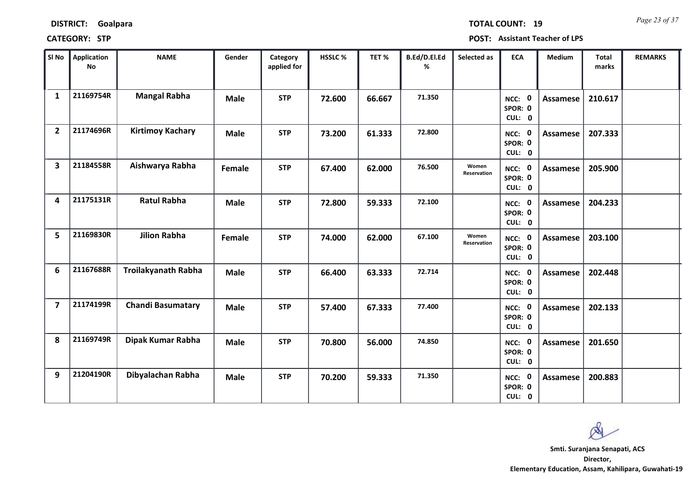| <b>DISTRICT:</b> | Goalpara |
|------------------|----------|
|------------------|----------|

*Page 23 of 37* **TOTAL COUNT: 19**

| SI <sub>No</sub>        | <b>Application</b><br>No | <b>NAME</b>                | Gender      | Category<br>applied for | <b>HSSLC %</b> | TET %  | B.Ed/D.El.Ed<br>% | Selected as          | <b>ECA</b>                  | <b>Medium</b>   | <b>Total</b><br>marks | <b>REMARKS</b> |
|-------------------------|--------------------------|----------------------------|-------------|-------------------------|----------------|--------|-------------------|----------------------|-----------------------------|-----------------|-----------------------|----------------|
| $\mathbf{1}$            | 21169754R                | <b>Mangal Rabha</b>        | <b>Male</b> | <b>STP</b>              | 72.600         | 66.667 | 71.350            |                      | NCC: 0<br>SPOR: 0<br>CUL: 0 | <b>Assamese</b> | 210.617               |                |
| $\overline{2}$          | 21174696R                | <b>Kirtimoy Kachary</b>    | <b>Male</b> | <b>STP</b>              | 73.200         | 61.333 | 72.800            |                      | NCC: 0<br>SPOR: 0<br>CUL: 0 | Assamese        | 207.333               |                |
| $\overline{\mathbf{3}}$ | 21184558R                | Aishwarya Rabha            | Female      | <b>STP</b>              | 67.400         | 62.000 | 76.500            | Women<br>Reservation | NCC: 0<br>SPOR: 0<br>CUL: 0 | <b>Assamese</b> | 205.900               |                |
| 4                       | 21175131R                | <b>Ratul Rabha</b>         | <b>Male</b> | <b>STP</b>              | 72.800         | 59.333 | 72.100            |                      | NCC: 0<br>SPOR: 0<br>CUL: 0 | <b>Assamese</b> | 204.233               |                |
| 5                       | 21169830R                | <b>Jilion Rabha</b>        | Female      | <b>STP</b>              | 74.000         | 62.000 | 67.100            | Women<br>Reservation | NCC: 0<br>SPOR: 0<br>CUL: 0 | Assamese        | 203.100               |                |
| 6                       | 21167688R                | <b>Troilakyanath Rabha</b> | <b>Male</b> | <b>STP</b>              | 66.400         | 63.333 | 72.714            |                      | NCC: 0<br>SPOR: 0<br>CUL: 0 | <b>Assamese</b> | 202.448               |                |
| $\overline{7}$          | 21174199R                | <b>Chandi Basumatary</b>   | <b>Male</b> | <b>STP</b>              | 57.400         | 67.333 | 77.400            |                      | NCC: 0<br>SPOR: 0<br>CUL: 0 | <b>Assamese</b> | 202.133               |                |
| 8                       | 21169749R                | Dipak Kumar Rabha          | <b>Male</b> | <b>STP</b>              | 70.800         | 56.000 | 74.850            |                      | NCC: 0<br>SPOR: 0<br>CUL: 0 | <b>Assamese</b> | 201.650               |                |
| 9                       | 21204190R                | Dibyalachan Rabha          | <b>Male</b> | <b>STP</b>              | 70.200         | 59.333 | 71.350            |                      | NCC: 0<br>SPOR: 0<br>CUL: 0 | Assamese        | 200.883               |                |

 $\infty$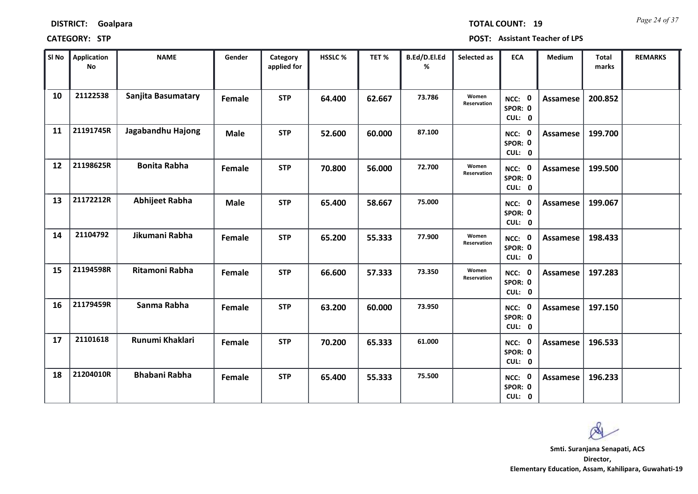*Page 24 of 37* **TOTAL COUNT: 19**

| SI No | Application<br><b>No</b> | <b>NAME</b>           | Gender      | Category<br>applied for | HSSLC % | TET%   | B.Ed/D.El.Ed<br>% | Selected as          | <b>ECA</b>                  | Medium          | <b>Total</b><br>marks | <b>REMARKS</b> |
|-------|--------------------------|-----------------------|-------------|-------------------------|---------|--------|-------------------|----------------------|-----------------------------|-----------------|-----------------------|----------------|
| 10    | 21122538                 | Sanjita Basumatary    | Female      | <b>STP</b>              | 64.400  | 62.667 | 73.786            | Women<br>Reservation | NCC: 0<br>SPOR: 0<br>CUL: 0 | Assamese        | 200.852               |                |
| 11    | 21191745R                | Jagabandhu Hajong     | <b>Male</b> | <b>STP</b>              | 52.600  | 60.000 | 87.100            |                      | NCC: 0<br>SPOR: 0<br>CUL: 0 | Assamese        | 199.700               |                |
| 12    | 21198625R                | <b>Bonita Rabha</b>   | Female      | <b>STP</b>              | 70.800  | 56.000 | 72.700            | Women<br>Reservation | NCC: 0<br>SPOR: 0<br>CUL: 0 | <b>Assamese</b> | 199.500               |                |
| 13    | 21172212R                | <b>Abhijeet Rabha</b> | <b>Male</b> | <b>STP</b>              | 65.400  | 58.667 | 75.000            |                      | NCC: 0<br>SPOR: 0<br>CUL: 0 | <b>Assamese</b> | 199.067               |                |
| 14    | 21104792                 | Jikumani Rabha        | Female      | <b>STP</b>              | 65.200  | 55.333 | 77.900            | Women<br>Reservation | NCC: 0<br>SPOR: 0<br>CUL: 0 | Assamese        | 198.433               |                |
| 15    | 21194598R                | <b>Ritamoni Rabha</b> | Female      | <b>STP</b>              | 66.600  | 57.333 | 73.350            | Women<br>Reservation | NCC: 0<br>SPOR: 0<br>CUL: 0 | <b>Assamese</b> | 197.283               |                |
| 16    | 21179459R                | Sanma Rabha           | Female      | <b>STP</b>              | 63.200  | 60.000 | 73.950            |                      | NCC: 0<br>SPOR: 0<br>CUL: 0 | Assamese        | 197.150               |                |
| 17    | 21101618                 | Runumi Khaklari       | Female      | <b>STP</b>              | 70.200  | 65.333 | 61.000            |                      | NCC: 0<br>SPOR: 0<br>CUL: 0 | Assamese        | 196.533               |                |
| 18    | 21204010R                | <b>Bhabani Rabha</b>  | Female      | <b>STP</b>              | 65.400  | 55.333 | 75.500            |                      | NCC: 0<br>SPOR: 0<br>CUL: 0 | Assamese        | 196.233               |                |

 $\infty$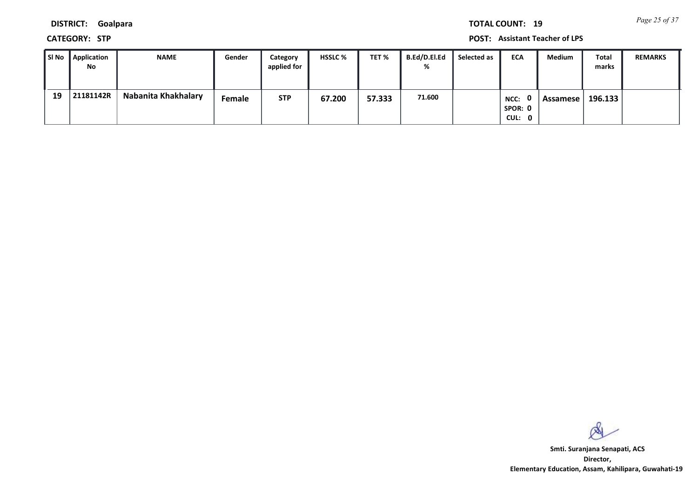*Page 25 of 37* **TOTAL COUNT: 19**

**DISTRICT: Goalpara**

**CATEGORY: STP POST: Assistant Teacher of LPS**

| l SI No | Application<br>No | <b>NAME</b>         | Gender | Category<br>applied for | <b>HSSLC %</b> | TET %  | B.Ed/D.El.Ed<br>% | Selected as | <b>ECA</b>                | Medium   | Total<br>marks | <b>REMARKS</b> |
|---------|-------------------|---------------------|--------|-------------------------|----------------|--------|-------------------|-------------|---------------------------|----------|----------------|----------------|
| 19      | 21181142R         | Nabanita Khakhalary | Female | <b>STP</b>              | 67.200         | 57.333 | 71.600            |             | NCC:<br>SPOR: 0<br>CUL: 0 | Assamese | 196.133        |                |

 $\infty$ 

**Director, Elementary Education, Assam, Kahilipara, Guwahati-19 Smti. Suranjana Senapati, ACS**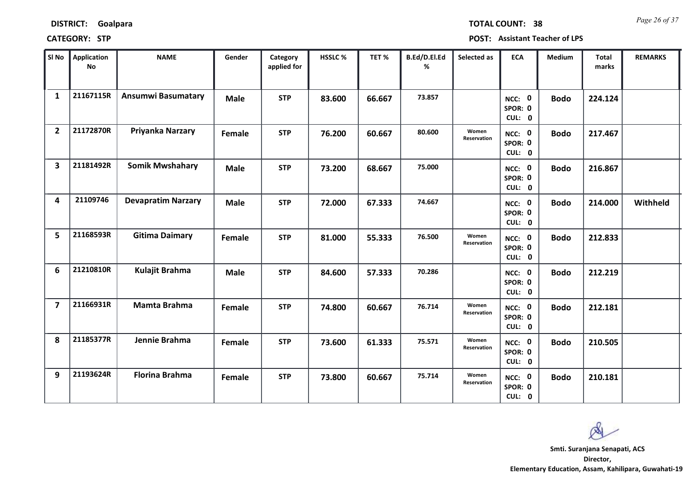| <b>DISTRICT:</b> | Goalpara |
|------------------|----------|
|------------------|----------|

*Page 26 of 37* **TOTAL COUNT: 38**

| SI No                   | Application<br><b>No</b> | <b>NAME</b>               | Gender      | Category<br>applied for | HSSLC % | TET %  | B.Ed/D.El.Ed<br>% | Selected as                 | <b>ECA</b>                  | <b>Medium</b> | <b>Total</b><br>marks | <b>REMARKS</b> |
|-------------------------|--------------------------|---------------------------|-------------|-------------------------|---------|--------|-------------------|-----------------------------|-----------------------------|---------------|-----------------------|----------------|
| $\mathbf{1}$            | 21167115R                | <b>Ansumwi Basumatary</b> | <b>Male</b> | <b>STP</b>              | 83.600  | 66.667 | 73.857            |                             | NCC: 0<br>SPOR: 0<br>CUL: 0 | <b>Bodo</b>   | 224.124               |                |
| $\overline{2}$          | 21172870R                | Priyanka Narzary          | Female      | <b>STP</b>              | 76.200  | 60.667 | 80.600            | Women<br><b>Reservation</b> | NCC: 0<br>SPOR: 0<br>CUL: 0 | <b>Bodo</b>   | 217.467               |                |
| $\overline{\mathbf{3}}$ | 21181492R                | <b>Somik Mwshahary</b>    | <b>Male</b> | <b>STP</b>              | 73.200  | 68.667 | 75.000            |                             | NCC: 0<br>SPOR: 0<br>CUL: 0 | <b>Bodo</b>   | 216.867               |                |
| 4                       | 21109746                 | <b>Devapratim Narzary</b> | <b>Male</b> | <b>STP</b>              | 72.000  | 67.333 | 74.667            |                             | NCC: 0<br>SPOR: 0<br>CUL: 0 | <b>Bodo</b>   | 214.000               | Withheld       |
| 5                       | 21168593R                | <b>Gitima Daimary</b>     | Female      | <b>STP</b>              | 81.000  | 55.333 | 76.500            | Women<br>Reservation        | NCC: 0<br>SPOR: 0<br>CUL: 0 | <b>Bodo</b>   | 212.833               |                |
| 6                       | 21210810R                | Kulajit Brahma            | <b>Male</b> | <b>STP</b>              | 84.600  | 57.333 | 70.286            |                             | NCC: 0<br>SPOR: 0<br>CUL: 0 | <b>Bodo</b>   | 212.219               |                |
| $\overline{7}$          | 21166931R                | Mamta Brahma              | Female      | <b>STP</b>              | 74.800  | 60.667 | 76.714            | Women<br>Reservation        | NCC: 0<br>SPOR: 0<br>CUL: 0 | <b>Bodo</b>   | 212.181               |                |
| 8                       | 21185377R                | Jennie Brahma             | Female      | <b>STP</b>              | 73.600  | 61.333 | 75.571            | Women<br>Reservation        | NCC: 0<br>SPOR: 0<br>CUL: 0 | <b>Bodo</b>   | 210.505               |                |
| 9                       | 21193624R                | <b>Florina Brahma</b>     | Female      | <b>STP</b>              | 73.800  | 60.667 | 75.714            | Women<br>Reservation        | NCC: 0<br>SPOR: 0<br>CUL: 0 | <b>Bodo</b>   | 210.181               |                |

 $\infty$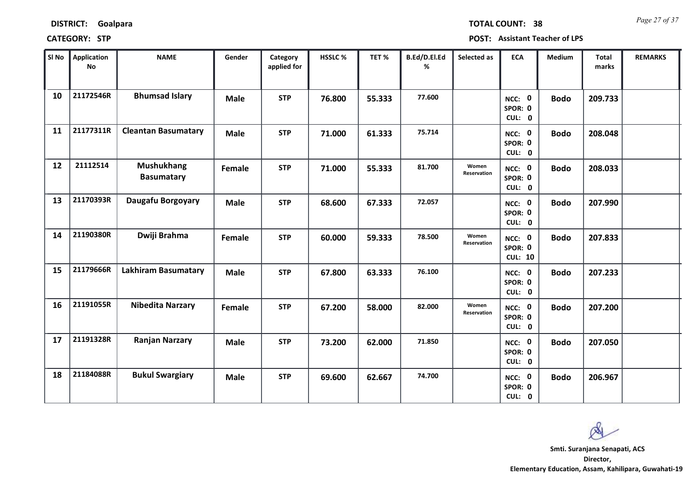| <b>DISTRICT:</b> | Goalpara |
|------------------|----------|
|------------------|----------|

*Page 27 of 37* **TOTAL COUNT: 38**

| SI No | Application<br>No | <b>NAME</b>                            | Gender      | Category<br>applied for | <b>HSSLC%</b> | TET %  | B.Ed/D.El.Ed<br>% | Selected as          | <b>ECA</b>                          | Medium      | <b>Total</b><br>marks | <b>REMARKS</b> |
|-------|-------------------|----------------------------------------|-------------|-------------------------|---------------|--------|-------------------|----------------------|-------------------------------------|-------------|-----------------------|----------------|
| 10    | 21172546R         | <b>Bhumsad Islary</b>                  | <b>Male</b> | <b>STP</b>              | 76.800        | 55.333 | 77.600            |                      | NCC: 0<br>SPOR: 0<br>CUL: 0         | <b>Bodo</b> | 209.733               |                |
| 11    | 21177311R         | <b>Cleantan Basumatary</b>             | <b>Male</b> | <b>STP</b>              | 71.000        | 61.333 | 75.714            |                      | NCC: 0<br>SPOR: 0<br>CUL: 0         | <b>Bodo</b> | 208.048               |                |
| 12    | 21112514          | <b>Mushukhang</b><br><b>Basumatary</b> | Female      | <b>STP</b>              | 71.000        | 55.333 | 81.700            | Women<br>Reservation | NCC: 0<br>SPOR: 0<br>CUL: 0         | <b>Bodo</b> | 208.033               |                |
| 13    | 21170393R         | Daugafu Borgoyary                      | <b>Male</b> | <b>STP</b>              | 68.600        | 67.333 | 72.057            |                      | NCC: 0<br>SPOR: 0<br>CUL: 0         | <b>Bodo</b> | 207.990               |                |
| 14    | 21190380R         | Dwiji Brahma                           | Female      | <b>STP</b>              | 60.000        | 59.333 | 78.500            | Women<br>Reservation | NCC: 0<br>SPOR: 0<br><b>CUL: 10</b> | <b>Bodo</b> | 207.833               |                |
| 15    | 21179666R         | <b>Lakhiram Basumatary</b>             | <b>Male</b> | <b>STP</b>              | 67.800        | 63.333 | 76.100            |                      | NCC: 0<br>SPOR: 0<br>CUL: 0         | <b>Bodo</b> | 207.233               |                |
| 16    | 21191055R         | <b>Nibedita Narzary</b>                | Female      | <b>STP</b>              | 67.200        | 58.000 | 82.000            | Women<br>Reservation | NCC: 0<br>SPOR: 0<br>CUL: 0         | <b>Bodo</b> | 207.200               |                |
| 17    | 21191328R         | <b>Ranjan Narzary</b>                  | <b>Male</b> | <b>STP</b>              | 73.200        | 62.000 | 71.850            |                      | NCC: 0<br>SPOR: 0<br>CUL: 0         | <b>Bodo</b> | 207.050               |                |
| 18    | 21184088R         | <b>Bukul Swargiary</b>                 | <b>Male</b> | <b>STP</b>              | 69.600        | 62.667 | 74.700            |                      | NCC: 0<br>SPOR: 0<br>CUL: 0         | <b>Bodo</b> | 206.967               |                |

 $\infty$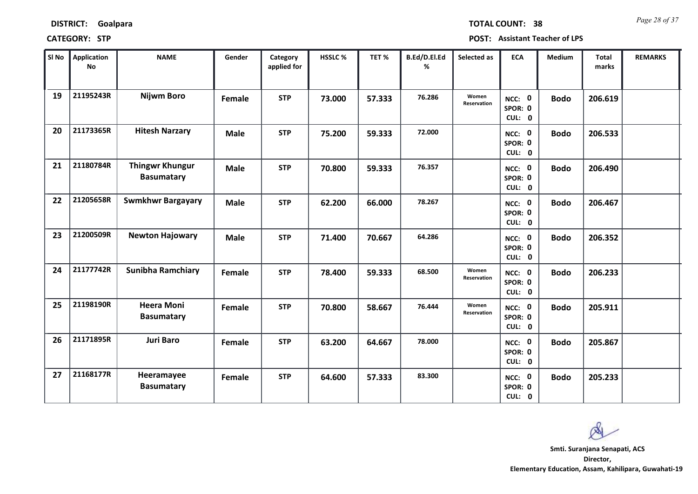| <b>DISTRICT:</b> | Goalpara |
|------------------|----------|
|------------------|----------|

*Page 28 of 37* **TOTAL COUNT: 38**

| SI No | Application<br>No | <b>NAME</b>                                 | Gender      | Category<br>applied for | <b>HSSLC%</b> | TET %  | B.Ed/D.El.Ed<br>% | Selected as          | <b>ECA</b>                  | Medium      | <b>Total</b><br>marks | <b>REMARKS</b> |
|-------|-------------------|---------------------------------------------|-------------|-------------------------|---------------|--------|-------------------|----------------------|-----------------------------|-------------|-----------------------|----------------|
| 19    | 21195243R         | <b>Nijwm Boro</b>                           | Female      | <b>STP</b>              | 73.000        | 57.333 | 76.286            | Women<br>Reservation | NCC: 0<br>SPOR: 0<br>CUL: 0 | <b>Bodo</b> | 206.619               |                |
| 20    | 21173365R         | <b>Hitesh Narzary</b>                       | <b>Male</b> | <b>STP</b>              | 75.200        | 59.333 | 72.000            |                      | NCC: 0<br>SPOR: 0<br>CUL: 0 | <b>Bodo</b> | 206.533               |                |
| 21    | 21180784R         | <b>Thingwr Khungur</b><br><b>Basumatary</b> | <b>Male</b> | <b>STP</b>              | 70.800        | 59.333 | 76.357            |                      | NCC: 0<br>SPOR: 0<br>CUL: 0 | <b>Bodo</b> | 206.490               |                |
| 22    | 21205658R         | <b>Swmkhwr Bargayary</b>                    | <b>Male</b> | <b>STP</b>              | 62.200        | 66.000 | 78.267            |                      | NCC: 0<br>SPOR: 0<br>CUL: 0 | <b>Bodo</b> | 206.467               |                |
| 23    | 21200509R         | <b>Newton Hajowary</b>                      | <b>Male</b> | <b>STP</b>              | 71.400        | 70.667 | 64.286            |                      | NCC: 0<br>SPOR: 0<br>CUL: 0 | <b>Bodo</b> | 206.352               |                |
| 24    | 21177742R         | <b>Sunibha Ramchiary</b>                    | Female      | <b>STP</b>              | 78.400        | 59.333 | 68.500            | Women<br>Reservation | NCC: 0<br>SPOR: 0<br>CUL: 0 | <b>Bodo</b> | 206.233               |                |
| 25    | 21198190R         | <b>Heera Moni</b><br><b>Basumatary</b>      | Female      | <b>STP</b>              | 70.800        | 58.667 | 76.444            | Women<br>Reservation | NCC: 0<br>SPOR: 0<br>CUL: 0 | <b>Bodo</b> | 205.911               |                |
| 26    | 21171895R         | <b>Juri Baro</b>                            | Female      | <b>STP</b>              | 63.200        | 64.667 | 78.000            |                      | NCC: 0<br>SPOR: 0<br>CUL: 0 | <b>Bodo</b> | 205.867               |                |
| 27    | 21168177R         | Heeramayee<br><b>Basumatary</b>             | Female      | <b>STP</b>              | 64.600        | 57.333 | 83.300            |                      | NCC: 0<br>SPOR: 0<br>CUL: 0 | <b>Bodo</b> | 205.233               |                |

 $\infty$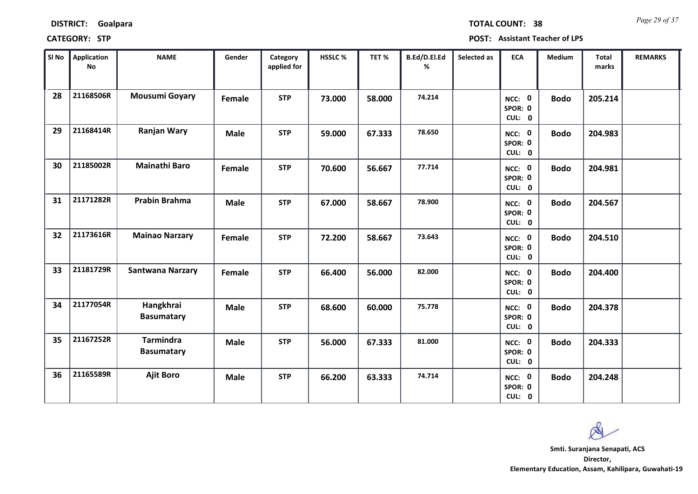| <b>DISTRICT:</b> | Goalpara |
|------------------|----------|
|------------------|----------|

*Page 29 of 37* **TOTAL COUNT: 38**

| SI No | Application<br>No | <b>NAME</b>                           | Gender      | Category<br>applied for | HSSLC % | TET%   | B.Ed/D.El.Ed<br>% | Selected as | <b>ECA</b>                  | Medium      | <b>Total</b><br>marks | <b>REMARKS</b> |
|-------|-------------------|---------------------------------------|-------------|-------------------------|---------|--------|-------------------|-------------|-----------------------------|-------------|-----------------------|----------------|
| 28    | 21168506R         | <b>Mousumi Goyary</b>                 | Female      | <b>STP</b>              | 73.000  | 58.000 | 74.214            |             | NCC: 0<br>SPOR: 0<br>CUL: 0 | <b>Bodo</b> | 205.214               |                |
| 29    | 21168414R         | <b>Ranjan Wary</b>                    | <b>Male</b> | <b>STP</b>              | 59.000  | 67.333 | 78.650            |             | NCC: 0<br>SPOR: 0<br>CUL: 0 | <b>Bodo</b> | 204.983               |                |
| 30    | 21185002R         | <b>Mainathi Baro</b>                  | Female      | <b>STP</b>              | 70.600  | 56.667 | 77.714            |             | NCC: 0<br>SPOR: 0<br>CUL: 0 | <b>Bodo</b> | 204.981               |                |
| 31    | 21171282R         | <b>Prabin Brahma</b>                  | <b>Male</b> | <b>STP</b>              | 67.000  | 58.667 | 78.900            |             | NCC: 0<br>SPOR: 0<br>CUL: 0 | <b>Bodo</b> | 204.567               |                |
| 32    | 21173616R         | <b>Mainao Narzary</b>                 | Female      | <b>STP</b>              | 72.200  | 58.667 | 73.643            |             | NCC: 0<br>SPOR: 0<br>CUL: 0 | <b>Bodo</b> | 204.510               |                |
| 33    | 21181729R         | <b>Santwana Narzary</b>               | Female      | <b>STP</b>              | 66.400  | 56.000 | 82.000            |             | NCC: 0<br>SPOR: 0<br>CUL: 0 | <b>Bodo</b> | 204.400               |                |
| 34    | 21177054R         | Hangkhrai<br><b>Basumatary</b>        | <b>Male</b> | <b>STP</b>              | 68.600  | 60.000 | 75.778            |             | NCC: 0<br>SPOR: 0<br>CUL: 0 | <b>Bodo</b> | 204.378               |                |
| 35    | 21167252R         | <b>Tarmindra</b><br><b>Basumatary</b> | <b>Male</b> | <b>STP</b>              | 56.000  | 67.333 | 81.000            |             | NCC: 0<br>SPOR: 0<br>CUL: 0 | <b>Bodo</b> | 204.333               |                |
| 36    | 21165589R         | <b>Ajit Boro</b>                      | <b>Male</b> | <b>STP</b>              | 66.200  | 63.333 | 74.714            |             | NCC: 0<br>SPOR: 0<br>CUL: 0 | <b>Bodo</b> | 204.248               |                |

 $\infty$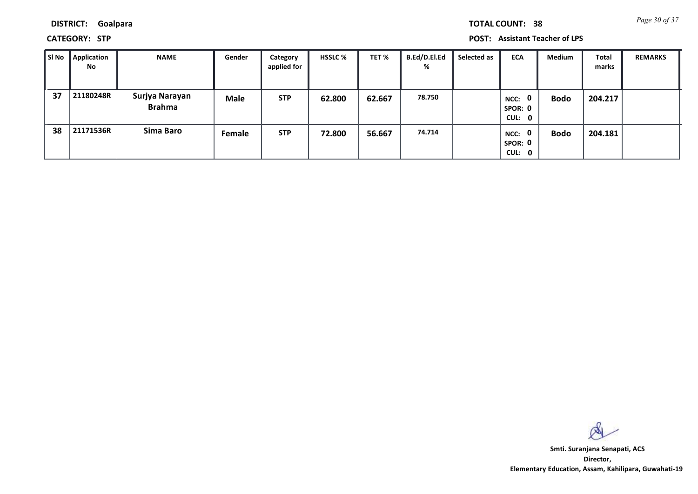**DISTRICT: Goalpara**

**CATEGORY: STP POST: Assistant Teacher of LPS**

| SI No | Application<br>No | <b>NAME</b>                     | Gender      | Category<br>applied for | <b>HSSLC %</b> | TET %  | B.Ed/D.El.Ed<br>% | Selected as | <b>ECA</b>                     | <b>Medium</b> | Total<br>marks | <b>REMARKS</b> |
|-------|-------------------|---------------------------------|-------------|-------------------------|----------------|--------|-------------------|-------------|--------------------------------|---------------|----------------|----------------|
| 37    | 21180248R         | Surjya Narayan<br><b>Brahma</b> | <b>Male</b> | <b>STP</b>              | 62.800         | 62.667 | 78.750            |             | 0<br>NCC:<br>SPOR: 0<br>CUL: 0 | <b>Bodo</b>   | 204.217        |                |
| 38    | 21171536R         | Sima Baro                       | Female      | <b>STP</b>              | 72.800         | 56.667 | 74.714            |             | NCC: 0<br>SPOR: 0<br>CUL: 0    | <b>Bodo</b>   | 204.181        |                |

 $\infty$ 

**Director, Elementary Education, Assam, Kahilipara, Guwahati-19 Smti. Suranjana Senapati, ACS**

*Page 30 of 37* **TOTAL COUNT: 38**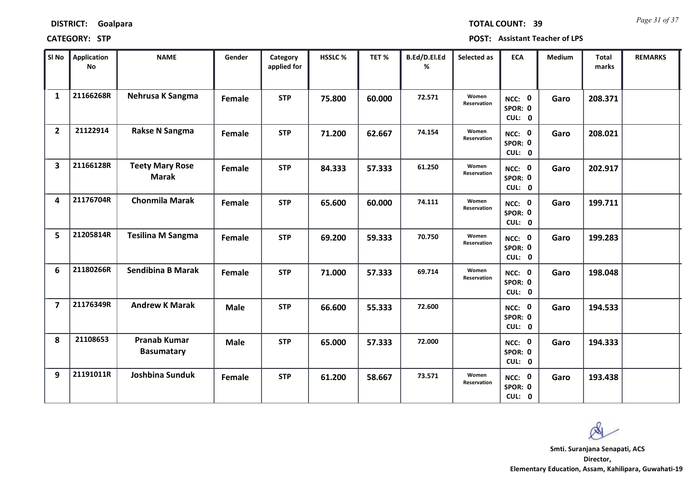| <b>DISTRICT:</b> | Goalpara |
|------------------|----------|
|------------------|----------|

*Page 31 of 37* **TOTAL COUNT: 39**

| SI <sub>No</sub>        | Application<br><b>No</b> | <b>NAME</b>                              | Gender      | Category<br>applied for | HSSLC % | TET %  | B.Ed/D.El.Ed<br>% | Selected as                 | <b>ECA</b>                  | <b>Medium</b> | <b>Total</b><br>marks | <b>REMARKS</b> |
|-------------------------|--------------------------|------------------------------------------|-------------|-------------------------|---------|--------|-------------------|-----------------------------|-----------------------------|---------------|-----------------------|----------------|
| $\mathbf{1}$            | 21166268R                | Nehrusa K Sangma                         | Female      | <b>STP</b>              | 75.800  | 60.000 | 72.571            | Women<br>Reservation        | NCC: 0<br>SPOR: 0<br>CUL: 0 | Garo          | 208.371               |                |
| $\overline{2}$          | 21122914                 | <b>Rakse N Sangma</b>                    | Female      | <b>STP</b>              | 71.200  | 62.667 | 74.154            | Women<br>Reservation        | NCC: 0<br>SPOR: 0<br>CUL: 0 | Garo          | 208.021               |                |
| $\overline{\mathbf{3}}$ | 21166128R                | <b>Teety Mary Rose</b><br><b>Marak</b>   | Female      | <b>STP</b>              | 84.333  | 57.333 | 61.250            | Women<br>Reservation        | NCC: 0<br>SPOR: 0<br>CUL: 0 | Garo          | 202.917               |                |
| 4                       | 21176704R                | <b>Chonmila Marak</b>                    | Female      | <b>STP</b>              | 65.600  | 60.000 | 74.111            | Women<br>Reservation        | NCC: 0<br>SPOR: 0<br>CUL: 0 | Garo          | 199.711               |                |
| 5                       | 21205814R                | <b>Tesilina M Sangma</b>                 | Female      | <b>STP</b>              | 69.200  | 59.333 | 70.750            | Women<br><b>Reservation</b> | NCC: 0<br>SPOR: 0<br>CUL: 0 | Garo          | 199.283               |                |
| 6                       | 21180266R                | <b>Sendibina B Marak</b>                 | Female      | <b>STP</b>              | 71.000  | 57.333 | 69.714            | Women<br>Reservation        | NCC: 0<br>SPOR: 0<br>CUL: 0 | Garo          | 198.048               |                |
| $\overline{\mathbf{z}}$ | 21176349R                | <b>Andrew K Marak</b>                    | <b>Male</b> | <b>STP</b>              | 66.600  | 55.333 | 72.600            |                             | NCC: 0<br>SPOR: 0<br>CUL: 0 | Garo          | 194.533               |                |
| 8                       | 21108653                 | <b>Pranab Kumar</b><br><b>Basumatary</b> | <b>Male</b> | <b>STP</b>              | 65.000  | 57.333 | 72.000            |                             | NCC: 0<br>SPOR: 0<br>CUL: 0 | Garo          | 194.333               |                |
| 9                       | 21191011R                | Joshbina Sunduk                          | Female      | <b>STP</b>              | 61.200  | 58.667 | 73.571            | Women<br>Reservation        | NCC: 0<br>SPOR: 0<br>CUL: 0 | Garo          | 193.438               |                |

 $\infty$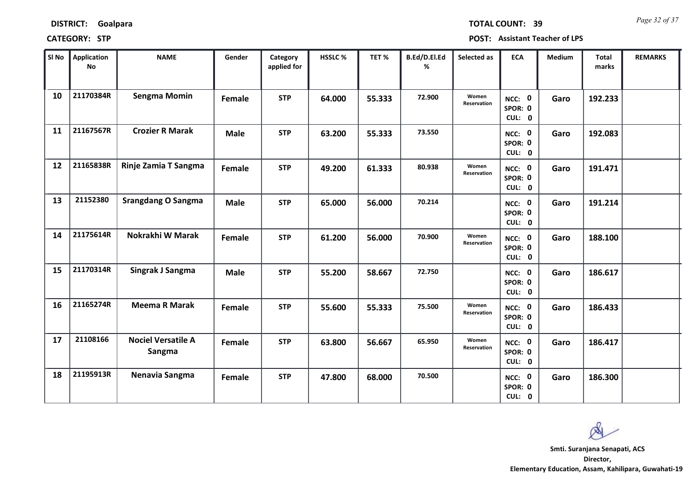| <b>DISTRICT:</b> | Goalpara |
|------------------|----------|
|------------------|----------|

*Page 32 of 37* **TOTAL COUNT: 39**

| SI <sub>No</sub> | Application<br><b>No</b> | <b>NAME</b>                         | Gender      | Category<br>applied for | <b>HSSLC %</b> | TET %  | B.Ed/D.El.Ed<br>% | Selected as          | <b>ECA</b>                  | <b>Medium</b> | <b>Total</b><br>marks | <b>REMARKS</b> |
|------------------|--------------------------|-------------------------------------|-------------|-------------------------|----------------|--------|-------------------|----------------------|-----------------------------|---------------|-----------------------|----------------|
| 10               | 21170384R                | <b>Sengma Momin</b>                 | Female      | <b>STP</b>              | 64.000         | 55.333 | 72.900            | Women<br>Reservation | NCC: 0<br>SPOR: 0<br>CUL: 0 | Garo          | 192.233               |                |
| 11               | 21167567R                | <b>Crozier R Marak</b>              | <b>Male</b> | <b>STP</b>              | 63.200         | 55.333 | 73.550            |                      | NCC: 0<br>SPOR: 0<br>CUL: 0 | Garo          | 192.083               |                |
| 12               | 21165838R                | Rinje Zamia T Sangma                | Female      | <b>STP</b>              | 49.200         | 61.333 | 80.938            | Women<br>Reservation | NCC: 0<br>SPOR: 0<br>CUL: 0 | Garo          | 191.471               |                |
| 13               | 21152380                 | <b>Srangdang O Sangma</b>           | <b>Male</b> | <b>STP</b>              | 65.000         | 56.000 | 70.214            |                      | NCC: 0<br>SPOR: 0<br>CUL: 0 | Garo          | 191.214               |                |
| 14               | 21175614R                | Nokrakhi W Marak                    | Female      | <b>STP</b>              | 61.200         | 56.000 | 70.900            | Women<br>Reservation | NCC: 0<br>SPOR: 0<br>CUL: 0 | Garo          | 188.100               |                |
| 15               | 21170314R                | Singrak J Sangma                    | <b>Male</b> | <b>STP</b>              | 55.200         | 58.667 | 72.750            |                      | NCC: 0<br>SPOR: 0<br>CUL: 0 | Garo          | 186.617               |                |
| <b>16</b>        | 21165274R                | <b>Meema R Marak</b>                | Female      | <b>STP</b>              | 55.600         | 55.333 | 75.500            | Women<br>Reservation | NCC: 0<br>SPOR: 0<br>CUL: 0 | Garo          | 186.433               |                |
| 17               | 21108166                 | <b>Nociel Versatile A</b><br>Sangma | Female      | <b>STP</b>              | 63.800         | 56.667 | 65.950            | Women<br>Reservation | NCC: 0<br>SPOR: 0<br>CUL: 0 | Garo          | 186.417               |                |
| 18               | 21195913R                | Nenavia Sangma                      | Female      | <b>STP</b>              | 47.800         | 68.000 | 70.500            |                      | NCC: 0<br>SPOR: 0<br>CUL: 0 | Garo          | 186.300               |                |

 $\infty$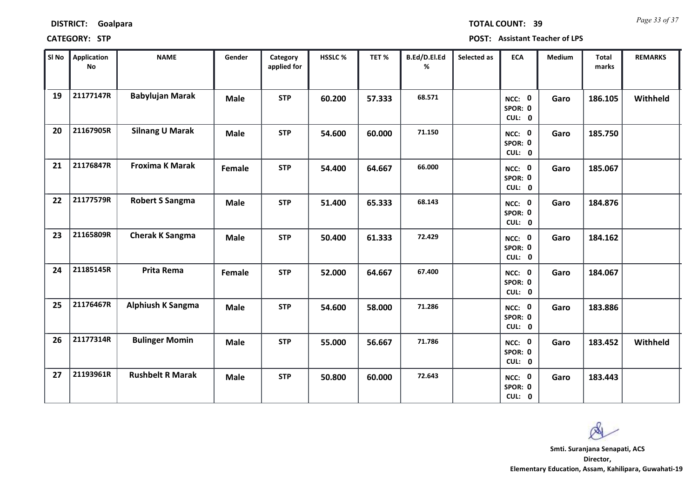| <b>DISTRICT:</b> | Goalpara |
|------------------|----------|
|------------------|----------|

*Page 33 of 37* **TOTAL COUNT: 39**

| SI No | <b>Application</b><br><b>No</b> | <b>NAME</b>              | Gender      | Category<br>applied for | HSSLC% | TET %  | B.Ed/D.El.Ed<br>% | Selected as | <b>ECA</b>                  | Medium | <b>Total</b><br>marks | <b>REMARKS</b> |
|-------|---------------------------------|--------------------------|-------------|-------------------------|--------|--------|-------------------|-------------|-----------------------------|--------|-----------------------|----------------|
| 19    | 21177147R                       | <b>Babylujan Marak</b>   | <b>Male</b> | <b>STP</b>              | 60.200 | 57.333 | 68.571            |             | NCC: 0<br>SPOR: 0<br>CUL: 0 | Garo   | 186.105               | Withheld       |
| 20    | 21167905R                       | <b>Silnang U Marak</b>   | <b>Male</b> | <b>STP</b>              | 54.600 | 60.000 | 71.150            |             | NCC: 0<br>SPOR: 0<br>CUL: 0 | Garo   | 185.750               |                |
| 21    | 21176847R                       | <b>Froxima K Marak</b>   | Female      | <b>STP</b>              | 54.400 | 64.667 | 66.000            |             | NCC: 0<br>SPOR: 0<br>CUL: 0 | Garo   | 185.067               |                |
| 22    | 21177579R                       | <b>Robert S Sangma</b>   | <b>Male</b> | <b>STP</b>              | 51.400 | 65.333 | 68.143            |             | NCC: 0<br>SPOR: 0<br>CUL: 0 | Garo   | 184.876               |                |
| 23    | 21165809R                       | <b>Cherak K Sangma</b>   | <b>Male</b> | <b>STP</b>              | 50.400 | 61.333 | 72.429            |             | NCC: 0<br>SPOR: 0<br>CUL: 0 | Garo   | 184.162               |                |
| 24    | 21185145R                       | <b>Prita Rema</b>        | Female      | <b>STP</b>              | 52.000 | 64.667 | 67.400            |             | NCC: 0<br>SPOR: 0<br>CUL: 0 | Garo   | 184.067               |                |
| 25    | 21176467R                       | <b>Alphiush K Sangma</b> | <b>Male</b> | <b>STP</b>              | 54.600 | 58.000 | 71.286            |             | NCC: 0<br>SPOR: 0<br>CUL: 0 | Garo   | 183.886               |                |
| 26    | 21177314R                       | <b>Bulinger Momin</b>    | <b>Male</b> | <b>STP</b>              | 55.000 | 56.667 | 71.786            |             | NCC: 0<br>SPOR: 0<br>CUL: 0 | Garo   | 183.452               | Withheld       |
| 27    | 21193961R                       | <b>Rushbelt R Marak</b>  | <b>Male</b> | <b>STP</b>              | 50.800 | 60.000 | 72.643            |             | NCC: 0<br>SPOR: 0<br>CUL: 0 | Garo   | 183.443               |                |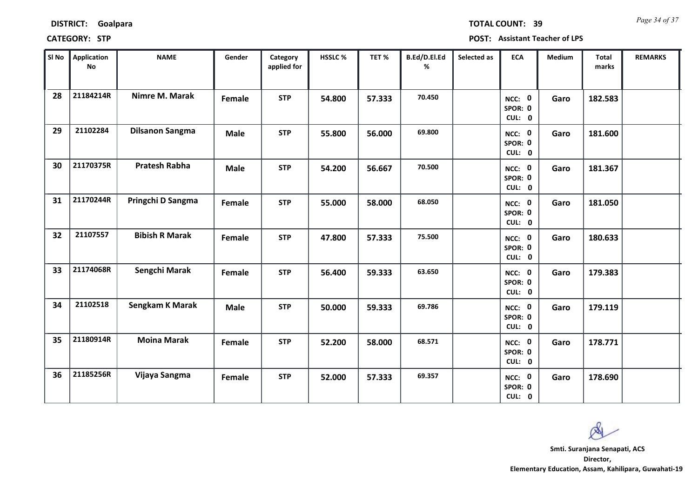| SI No | <b>Application</b><br>No | <b>NAME</b>            | Gender      | Category<br>applied for | HSSLC% | TET%   | B.Ed/D.El.Ed<br>℅ | Selected as | <b>ECA</b>                  | Medium | Total<br>marks | <b>REMARKS</b> |
|-------|--------------------------|------------------------|-------------|-------------------------|--------|--------|-------------------|-------------|-----------------------------|--------|----------------|----------------|
| 28    | 21184214R                | Nimre M. Marak         | Female      | <b>STP</b>              | 54.800 | 57.333 | 70.450            |             | NCC: 0<br>SPOR: 0<br>CUL: 0 | Garo   | 182.583        |                |
| 29    | 21102284                 | <b>Dilsanon Sangma</b> | <b>Male</b> | <b>STP</b>              | 55.800 | 56.000 | 69.800            |             | NCC: 0<br>SPOR: 0<br>CUL: 0 | Garo   | 181.600        |                |
| 30    | 21170375R                | <b>Pratesh Rabha</b>   | <b>Male</b> | <b>STP</b>              | 54.200 | 56.667 | 70.500            |             | NCC: 0<br>SPOR: 0<br>CUL: 0 | Garo   | 181.367        |                |
| 31    | 21170244R                | Pringchi D Sangma      | Female      | <b>STP</b>              | 55.000 | 58.000 | 68.050            |             | NCC: 0<br>SPOR: 0<br>CUL: 0 | Garo   | 181.050        |                |
| 32    | 21107557                 | <b>Bibish R Marak</b>  | Female      | <b>STP</b>              | 47.800 | 57.333 | 75.500            |             | NCC: 0<br>SPOR: 0<br>CUL: 0 | Garo   | 180.633        |                |
| 33    | 21174068R                | Sengchi Marak          | Female      | <b>STP</b>              | 56.400 | 59.333 | 63.650            |             | NCC: 0<br>SPOR: 0<br>CUL: 0 | Garo   | 179.383        |                |
| 34    | 21102518                 | <b>Sengkam K Marak</b> | <b>Male</b> | <b>STP</b>              | 50.000 | 59.333 | 69.786            |             | NCC: 0<br>SPOR: 0<br>CUL: 0 | Garo   | 179.119        |                |
| 35    | 21180914R                | <b>Moina Marak</b>     | Female      | <b>STP</b>              | 52.200 | 58.000 | 68.571            |             | NCC: 0<br>SPOR: 0<br>CUL: 0 | Garo   | 178.771        |                |
| 36    | 21185256R                | Vijaya Sangma          | Female      | <b>STP</b>              | 52.000 | 57.333 | 69.357            |             | NCC: 0<br>SPOR: 0<br>CUL: 0 | Garo   | 178.690        |                |

# **DISTRICT: Goalpara**

### **CATEGORY: STP POST: Assistant Teacher of LPS**

**Director, Elementary Education, Assam, Kahilipara, Guwahati-19 Smti. Suranjana Senapati, ACS**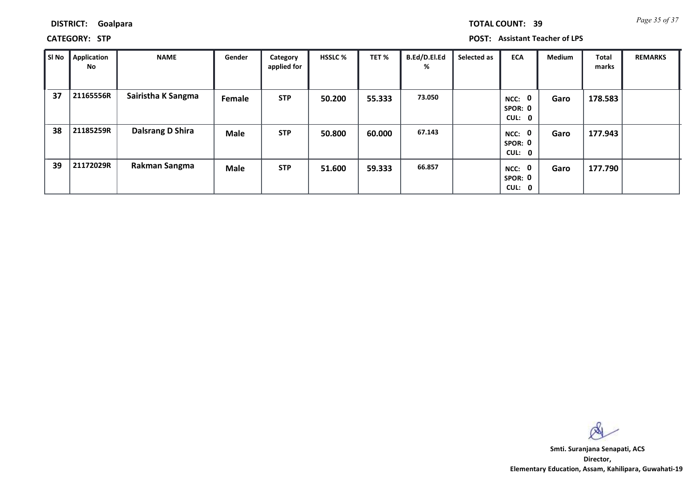*Page 35 of 37* **TOTAL COUNT: 39**

**DISTRICT: Goalpara**

**CATEGORY: STP POST: Assistant Teacher of LPS**

| SI No | <b>Application</b><br>No | <b>NAME</b>             | Gender      | Category<br>applied for | <b>HSSLC %</b> | TET %  | B.Ed/D.El.Ed<br>% | Selected as | <b>ECA</b>                               | <b>Medium</b> | <b>Total</b><br>marks | <b>REMARKS</b> |
|-------|--------------------------|-------------------------|-------------|-------------------------|----------------|--------|-------------------|-------------|------------------------------------------|---------------|-----------------------|----------------|
| 37    | 21165556R                | Sairistha K Sangma      | Female      | <b>STP</b>              | 50.200         | 55.333 | 73.050            |             | $\mathbf 0$<br>NCC:<br>SPOR: 0<br>CUL: 0 | Garo          | 178.583               |                |
| 38    | 21185259R                | <b>Dalsrang D Shira</b> | Male        | <b>STP</b>              | 50.800         | 60.000 | 67.143            |             | 0<br>NCC:<br>SPOR: 0<br>CUL: 0           | Garo          | 177.943               |                |
| 39    | 21172029R                | Rakman Sangma           | <b>Male</b> | <b>STP</b>              | 51.600         | 59.333 | 66.857            |             | $\mathbf 0$<br>NCC:<br>SPOR: 0<br>CUL: 0 | Garo          | 177.790               |                |

 $\infty$ 

**Director, Elementary Education, Assam, Kahilipara, Guwahati-19 Smti. Suranjana Senapati, ACS**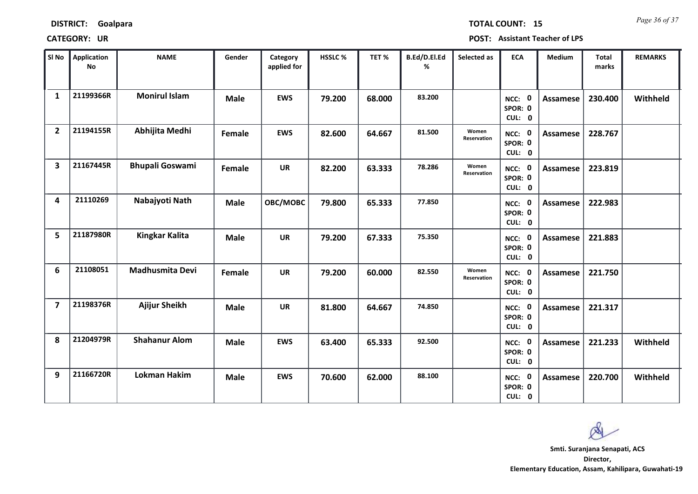| SI <sub>No</sub>        | <b>Application</b><br>No | <b>NAME</b>            | Gender      | Category<br>applied for | <b>HSSLC %</b> | TET %  | B.Ed/D.El.Ed<br>% | Selected as          | <b>ECA</b>                  | <b>Medium</b>   | <b>Total</b><br>marks | <b>REMARKS</b> |
|-------------------------|--------------------------|------------------------|-------------|-------------------------|----------------|--------|-------------------|----------------------|-----------------------------|-----------------|-----------------------|----------------|
| $\mathbf{1}$            | 21199366R                | <b>Monirul Islam</b>   | <b>Male</b> | <b>EWS</b>              | 79.200         | 68.000 | 83.200            |                      | NCC: 0<br>SPOR: 0<br>CUL: 0 | Assamese        | 230.400               | Withheld       |
| $\overline{2}$          | 21194155R                | Abhijita Medhi         | Female      | <b>EWS</b>              | 82.600         | 64.667 | 81.500            | Women<br>Reservation | NCC: 0<br>SPOR: 0<br>CUL: 0 | Assamese        | 228.767               |                |
| $\overline{\mathbf{3}}$ | 21167445R                | <b>Bhupali Goswami</b> | Female      | <b>UR</b>               | 82.200         | 63.333 | 78.286            | Women<br>Reservation | NCC: 0<br>SPOR: 0<br>CUL: 0 | <b>Assamese</b> | 223.819               |                |
| 4                       | 21110269                 | Nabajyoti Nath         | <b>Male</b> | OBC/MOBC                | 79.800         | 65.333 | 77.850            |                      | NCC: 0<br>SPOR: 0<br>CUL: 0 | <b>Assamese</b> | 222.983               |                |
| 5                       | 21187980R                | <b>Kingkar Kalita</b>  | <b>Male</b> | <b>UR</b>               | 79.200         | 67.333 | 75.350            |                      | NCC: 0<br>SPOR: 0<br>CUL: 0 | <b>Assamese</b> | 221.883               |                |
| 6                       | 21108051                 | <b>Madhusmita Devi</b> | Female      | <b>UR</b>               | 79.200         | 60.000 | 82.550            | Women<br>Reservation | NCC: 0<br>SPOR: 0<br>CUL: 0 | <b>Assamese</b> | 221.750               |                |
| $\overline{7}$          | 21198376R                | Ajijur Sheikh          | <b>Male</b> | <b>UR</b>               | 81.800         | 64.667 | 74.850            |                      | NCC: 0<br>SPOR: 0<br>CUL: 0 | <b>Assamese</b> | 221.317               |                |
| 8                       | 21204979R                | <b>Shahanur Alom</b>   | <b>Male</b> | <b>EWS</b>              | 63.400         | 65.333 | 92.500            |                      | NCC: 0<br>SPOR: 0<br>CUL: 0 | Assamese        | 221.233               | Withheld       |
| 9                       | 21166720R                | <b>Lokman Hakim</b>    | <b>Male</b> | <b>EWS</b>              | 70.600         | 62.000 | 88.100            |                      | NCC: 0<br>SPOR: 0<br>CUL: 0 | Assamese        | 220.700               | Withheld       |

 $\infty$